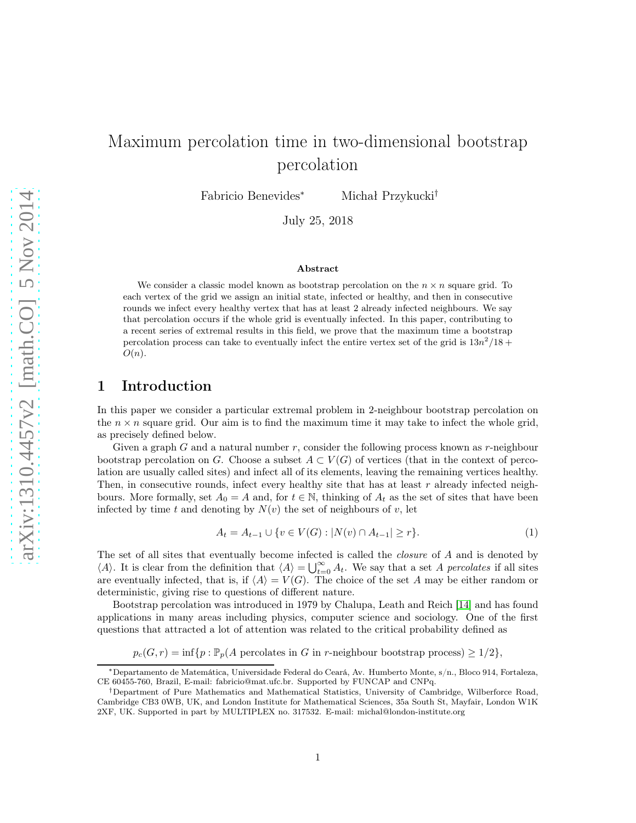# Maximum percolation time in two-dimensional bootstrap percolation

Fabricio Benevides<sup>∗</sup> Michał Przykucki†

July 25, 2018

#### Abstract

We consider a classic model known as bootstrap percolation on the  $n \times n$  square grid. To each vertex of the grid we assign an initial state, infected or healthy, and then in consecutive rounds we infect every healthy vertex that has at least 2 already infected neighbours. We say that percolation occurs if the whole grid is eventually infected. In this paper, contributing to a recent series of extremal results in this field, we prove that the maximum time a bootstrap percolation process can take to eventually infect the entire vertex set of the grid is  $13n^2/18 +$  $O(n).$ 

# 1 Introduction

In this paper we consider a particular extremal problem in 2-neighbour bootstrap percolation on the  $n \times n$  square grid. Our aim is to find the maximum time it may take to infect the whole grid, as precisely defined below.

Given a graph  $G$  and a natural number  $r$ , consider the following process known as  $r$ -neighbour bootstrap percolation on G. Choose a subset  $A \subset V(G)$  of vertices (that in the context of percolation are usually called sites) and infect all of its elements, leaving the remaining vertices healthy. Then, in consecutive rounds, infect every healthy site that has at least  $r$  already infected neighbours. More formally, set  $A_0 = A$  and, for  $t \in \mathbb{N}$ , thinking of  $A_t$  as the set of sites that have been infected by time t and denoting by  $N(v)$  the set of neighbours of v, let

<span id="page-0-0"></span>
$$
A_t = A_{t-1} \cup \{ v \in V(G) : |N(v) \cap A_{t-1}| \ge r \}. \tag{1}
$$

The set of all sites that eventually become infected is called the *closure* of A and is denoted by  $\langle A \rangle$ . It is clear from the definition that  $\langle A \rangle = \bigcup_{t=0}^{\infty} A_t$ . We say that a set A percolates if all sites are eventually infected, that is, if  $\langle A \rangle = V(G)$ . The choice of the set A may be either random or deterministic, giving rise to questions of different nature.

Bootstrap percolation was introduced in 1979 by Chalupa, Leath and Reich [\[14\]](#page-26-0) and has found applications in many areas including physics, computer science and sociology. One of the first questions that attracted a lot of attention was related to the critical probability defined as

 $p_c(G, r) = \inf \{ p : \mathbb{P}_p(A \text{ percolates in } G \text{ in } r\text{-neighbor bootstrap process}) \geq 1/2 \},\$ 

<sup>∗</sup>Departamento de Matemática, Universidade Federal do Ceará, Av. Humberto Monte, s/n., Bloco 914, Fortaleza, CE 60455-760, Brazil, E-mail: fabricio@mat.ufc.br. Supported by FUNCAP and CNPq.

<sup>†</sup>Department of Pure Mathematics and Mathematical Statistics, University of Cambridge, Wilberforce Road, Cambridge CB3 0WB, UK, and London Institute for Mathematical Sciences, 35a South St, Mayfair, London W1K 2XF, UK. Supported in part by MULTIPLEX no. 317532. E-mail: michal@london-institute.org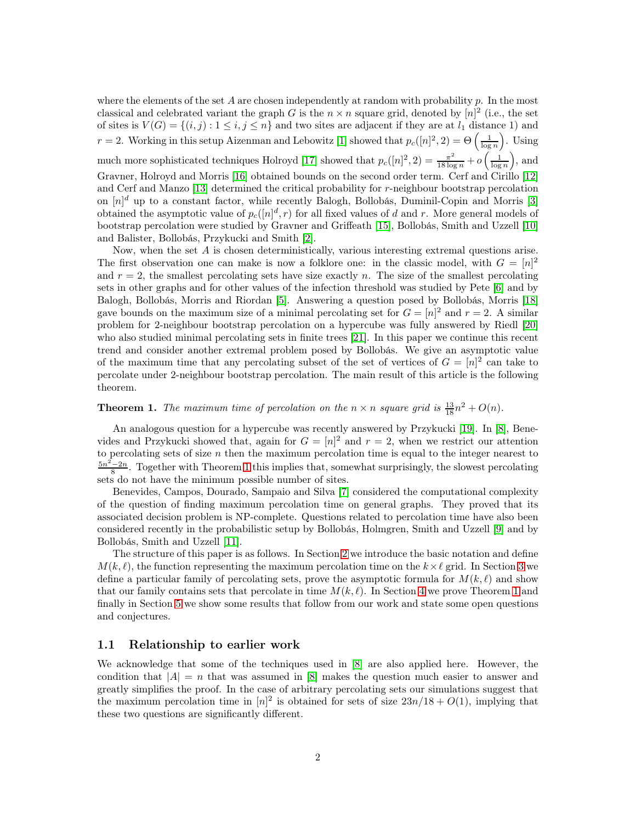where the elements of the set A are chosen independently at random with probability  $p$ . In the most classical and celebrated variant the graph G is the  $n \times n$  square grid, denoted by  $[n]^2$  (i.e., the set of sites is  $V(G) = \{(i, j) : 1 \le i, j \le n\}$  and two sites are adjacent if they are at  $l_1$  distance 1) and  $r = 2$ . Working in this setup Aizenman and Lebowitz [\[1\]](#page-26-1) showed that  $p_c([n]^2, 2) = \Theta\left(\frac{1}{\log n}\right)$ . Using much more sophisticated techniques Holroyd [\[17\]](#page-27-0) showed that  $p_c([n]^2, 2) = \frac{\pi^2}{18 \log n} + o\left(\frac{1}{\log n}\right)$ , and Gravner, Holroyd and Morris [\[16\]](#page-27-1) obtained bounds on the second order term. Cerf and Cirillo [\[12\]](#page-26-2) and Cerf and Manzo [\[13\]](#page-26-3) determined the critical probability for r-neighbour bootstrap percolation on  $[n]^d$  up to a constant factor, while recently Balogh, Bollobás, Duminil-Copin and Morris [\[3\]](#page-26-4) obtained the asymptotic value of  $p_c([n]^d, r)$  for all fixed values of d and r. More general models of bootstrap percolation were studied by Gravner and Griffeath [\[15\]](#page-27-2), Bollobás, Smith and Uzzell [\[10\]](#page-26-5) and Balister, Bollobás, Przykucki and Smith [\[2\]](#page-26-6).

Now, when the set A is chosen deterministically, various interesting extremal questions arise. The first observation one can make is now a folklore one: in the classic model, with  $G = [n]^2$ and  $r = 2$ , the smallest percolating sets have size exactly n. The size of the smallest percolating sets in other graphs and for other values of the infection threshold was studied by Pete [\[6\]](#page-26-7) and by Balogh, Bollobás, Morris and Riordan [\[5\]](#page-26-8). Answering a question posed by Bollobás, Morris [\[18\]](#page-27-3) gave bounds on the maximum size of a minimal percolating set for  $G = [n]^2$  and  $r = 2$ . A similar problem for 2-neighbour bootstrap percolation on a hypercube was fully answered by Riedl [\[20\]](#page-27-4) who also studied minimal percolating sets in finite trees [\[21\]](#page-27-5). In this paper we continue this recent trend and consider another extremal problem posed by Bollobás. We give an asymptotic value of the maximum time that any percolating subset of the set of vertices of  $G = [n]^2$  can take to percolate under 2-neighbour bootstrap percolation. The main result of this article is the following theorem.

# <span id="page-1-0"></span>**Theorem 1.** The maximum time of percolation on the  $n \times n$  square grid is  $\frac{13}{18}n^2 + O(n)$ .

An analogous question for a hypercube was recently answered by Przykucki [\[19\]](#page-27-6). In [\[8\]](#page-26-9), Benevides and Przykucki showed that, again for  $G = [n]^2$  and  $r = 2$ , when we restrict our attention to percolating sets of size  $n$  then the maximum percolation time is equal to the integer nearest to  $\frac{5n^2-2n}{8}$ . Together with Theorem [1](#page-1-0) this implies that, somewhat surprisingly, the slowest percolating sets do not have the minimum possible number of sites.

Benevides, Campos, Dourado, Sampaio and Silva [\[7\]](#page-26-10) considered the computational complexity of the question of finding maximum percolation time on general graphs. They proved that its associated decision problem is NP-complete. Questions related to percolation time have also been considered recently in the probabilistic setup by Bollobás, Holmgren, Smith and Uzzell [\[9\]](#page-26-11) and by Bollobás, Smith and Uzzell [\[11\]](#page-26-12).

The structure of this paper is as follows. In Section [2](#page-2-0) we introduce the basic notation and define  $M(k, \ell)$ , the function representing the maximum percolation time on the  $k \times \ell$  grid. In Section [3](#page-3-0) we define a particular family of percolating sets, prove the asymptotic formula for  $M(k, \ell)$  and show that our family contains sets that percolate in time  $M(k, \ell)$ . In Section [4](#page-14-0) we prove Theorem [1](#page-1-0) and finally in Section [5](#page-23-0) we show some results that follow from our work and state some open questions and conjectures.

#### 1.1 Relationship to earlier work

We acknowledge that some of the techniques used in [\[8\]](#page-26-9) are also applied here. However, the condition that  $|A| = n$  that was assumed in [\[8\]](#page-26-9) makes the question much easier to answer and greatly simplifies the proof. In the case of arbitrary percolating sets our simulations suggest that the maximum percolation time in  $[n]^2$  is obtained for sets of size  $23n/18 + O(1)$ , implying that these two questions are significantly different.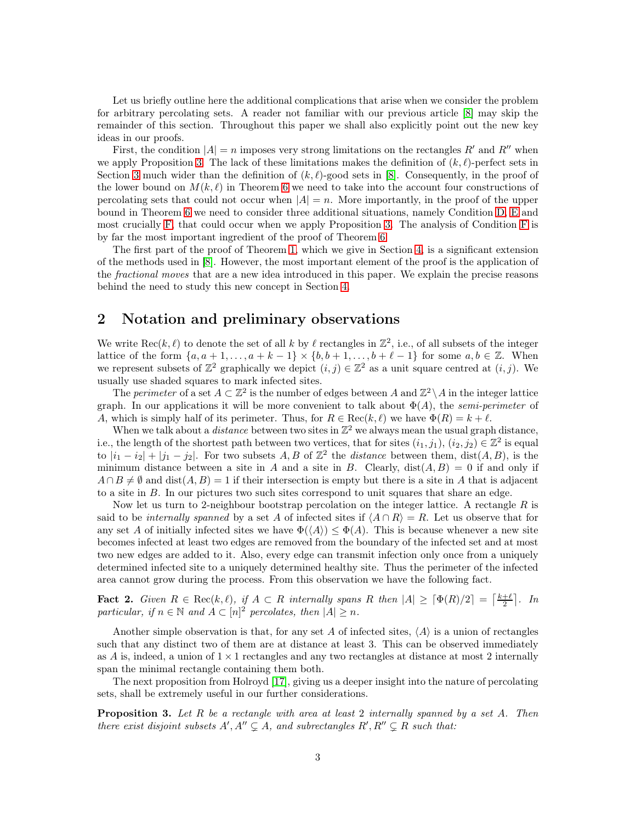Let us briefly outline here the additional complications that arise when we consider the problem for arbitrary percolating sets. A reader not familiar with our previous article [\[8\]](#page-26-9) may skip the remainder of this section. Throughout this paper we shall also explicitly point out the new key ideas in our proofs.

First, the condition  $|A| = n$  imposes very strong limitations on the rectangles R' and R'' when we apply Proposition [3.](#page-2-1) The lack of these limitations makes the definition of  $(k, \ell)$ -perfect sets in Section [3](#page-3-0) much wider than the definition of  $(k, \ell)$ -good sets in [\[8\]](#page-26-9). Consequently, in the proof of the lower bound on  $M(k, \ell)$  in Theorem [6](#page-7-0) we need to take into the account four constructions of percolating sets that could not occur when  $|A| = n$ . More importantly, in the proof of the upper bound in Theorem [6](#page-7-0) we need to consider three additional situations, namely Condition [D,](#page-9-0) [E](#page-10-0) and most crucially [F,](#page-10-1) that could occur when we apply Proposition [3.](#page-2-1) The analysis of Condition [F](#page-10-1) is by far the most important ingredient of the proof of Theorem [6.](#page-7-0)

The first part of the proof of Theorem [1,](#page-1-0) which we give in Section [4,](#page-14-0) is a significant extension of the methods used in [\[8\]](#page-26-9). However, the most important element of the proof is the application of the fractional moves that are a new idea introduced in this paper. We explain the precise reasons behind the need to study this new concept in Section [4.](#page-14-0)

# <span id="page-2-0"></span>2 Notation and preliminary observations

We write  $\text{Rec}(k, \ell)$  to denote the set of all k by  $\ell$  rectangles in  $\mathbb{Z}^2$ , i.e., of all subsets of the integer lattice of the form  $\{a, a+1, \ldots, a+k-1\} \times \{b, b+1, \ldots, b+\ell-1\}$  for some  $a, b \in \mathbb{Z}$ . When we represent subsets of  $\mathbb{Z}^2$  graphically we depict  $(i, j) \in \mathbb{Z}^2$  as a unit square centred at  $(i, j)$ . We usually use shaded squares to mark infected sites.

The perimeter of a set  $A \subset \mathbb{Z}^2$  is the number of edges between A and  $\mathbb{Z}^2 \setminus A$  in the integer lattice graph. In our applications it will be more convenient to talk about  $\Phi(A)$ , the semi-perimeter of A, which is simply half of its perimeter. Thus, for  $R \in \text{Rec}(k, \ell)$  we have  $\Phi(R) = k + \ell$ .

When we talk about a *distance* between two sites in  $\mathbb{Z}^2$  we always mean the usual graph distance, i.e., the length of the shortest path between two vertices, that for sites  $(i_1, j_1), (i_2, j_2) \in \mathbb{Z}^2$  is equal to  $|i_1 - i_2| + |j_1 - j_2|$ . For two subsets A, B of  $\mathbb{Z}^2$  the distance between them, dist $(A, B)$ , is the minimum distance between a site in A and a site in B. Clearly,  $dist(A, B) = 0$  if and only if  $A \cap B \neq \emptyset$  and dist $(A, B) = 1$  if their intersection is empty but there is a site in A that is adjacent to a site in B. In our pictures two such sites correspond to unit squares that share an edge.

Now let us turn to 2-neighbour bootstrap percolation on the integer lattice. A rectangle  $R$  is said to be internally spanned by a set A of infected sites if  $\langle A \cap R \rangle = R$ . Let us observe that for any set A of initially infected sites we have  $\Phi(\langle A \rangle) \leq \Phi(A)$ . This is because whenever a new site becomes infected at least two edges are removed from the boundary of the infected set and at most two new edges are added to it. Also, every edge can transmit infection only once from a uniquely determined infected site to a uniquely determined healthy site. Thus the perimeter of the infected area cannot grow during the process. From this observation we have the following fact.

<span id="page-2-2"></span>**Fact 2.** Given  $R \in \text{Rec}(k, \ell)$ , if  $A \subset R$  internally spans R then  $|A| \geq \lceil \Phi(R)/2 \rceil = \lceil \frac{k+\ell}{2} \rceil$ . In particular, if  $n \in \mathbb{N}$  and  $A \subset [n]^2$  percolates, then  $|A| \geq n$ .

Another simple observation is that, for any set A of infected sites,  $\langle A \rangle$  is a union of rectangles such that any distinct two of them are at distance at least 3. This can be observed immediately as A is, indeed, a union of  $1 \times 1$  rectangles and any two rectangles at distance at most 2 internally span the minimal rectangle containing them both.

The next proposition from Holroyd [\[17\]](#page-27-0), giving us a deeper insight into the nature of percolating sets, shall be extremely useful in our further considerations.

<span id="page-2-1"></span>**Proposition 3.** Let  $R$  be a rectangle with area at least 2 internally spanned by a set  $A$ . Then there exist disjoint subsets  $A', A'' \subsetneq A$ , and subrectangles  $R', R'' \subsetneq R$  such that: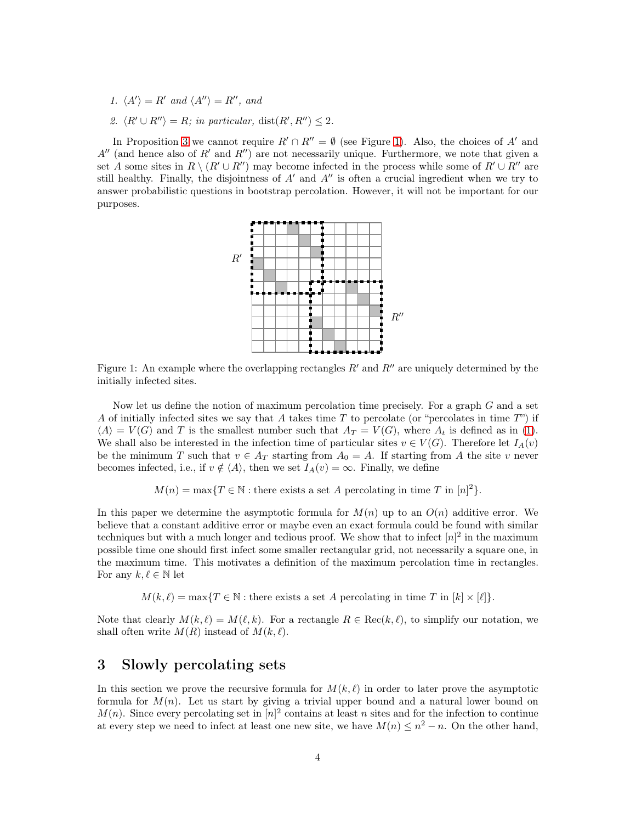- <span id="page-3-3"></span><span id="page-3-2"></span>1.  $\langle A' \rangle = R'$  and  $\langle A'' \rangle = R''$ , and
- 2.  $\langle R' \cup R'' \rangle = R$ ; in particular, dist $(R', R'') \leq 2$ .

In Proposition [3](#page-2-1) we cannot require  $R' \cap R'' = \emptyset$  (see Figure [1\)](#page-3-1). Also, the choices of A' and  $A''$  (and hence also of  $R'$  and  $R''$ ) are not necessarily unique. Furthermore, we note that given a set A some sites in  $R \setminus (R' \cup R'')$  may become infected in the process while some of  $R' \cup R''$  are still healthy. Finally, the disjointness of  $A'$  and  $A''$  is often a crucial ingredient when we try to answer probabilistic questions in bootstrap percolation. However, it will not be important for our purposes.



<span id="page-3-1"></span>Figure 1: An example where the overlapping rectangles  $R'$  and  $R''$  are uniquely determined by the initially infected sites.

Now let us define the notion of maximum percolation time precisely. For a graph G and a set A of initially infected sites we say that A takes time  $T$  to percolate (or "percolates in time  $T$ ") if  $\langle A \rangle = V(G)$  and T is the smallest number such that  $A_T = V(G)$ , where  $A_t$  is defined as in [\(1\)](#page-0-0). We shall also be interested in the infection time of particular sites  $v \in V(G)$ . Therefore let  $I_A(v)$ be the minimum T such that  $v \in A_T$  starting from  $A_0 = A$ . If starting from A the site v never becomes infected, i.e., if  $v \notin \langle A \rangle$ , then we set  $I_A(v) = \infty$ . Finally, we define

 $M(n) = \max\{T \in \mathbb{N} : \text{there exists a set } A \text{ percolating in time } T \text{ in } [n]^2\}.$ 

In this paper we determine the asymptotic formula for  $M(n)$  up to an  $O(n)$  additive error. We believe that a constant additive error or maybe even an exact formula could be found with similar techniques but with a much longer and tedious proof. We show that to infect  $[n]^2$  in the maximum possible time one should first infect some smaller rectangular grid, not necessarily a square one, in the maximum time. This motivates a definition of the maximum percolation time in rectangles. For any  $k, \ell \in \mathbb{N}$  let

 $M(k, \ell) = \max\{T \in \mathbb{N} : \text{there exists a set } A \text{ percolating in time } T \text{ in } [k] \times [\ell]\}.$ 

Note that clearly  $M(k, \ell) = M(\ell, k)$ . For a rectangle  $R \in \text{Rec}(k, \ell)$ , to simplify our notation, we shall often write  $M(R)$  instead of  $M(k, \ell)$ .

# <span id="page-3-0"></span>3 Slowly percolating sets

In this section we prove the recursive formula for  $M(k, \ell)$  in order to later prove the asymptotic formula for  $M(n)$ . Let us start by giving a trivial upper bound and a natural lower bound on  $M(n)$ . Since every percolating set in  $[n]^2$  contains at least n sites and for the infection to continue at every step we need to infect at least one new site, we have  $M(n) \leq n^2 - n$ . On the other hand,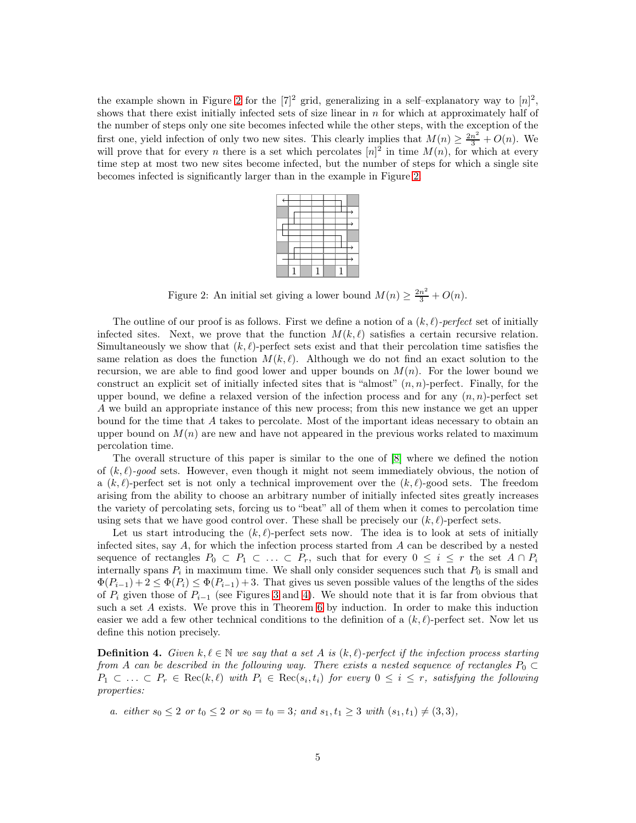the example shown in Figure [2](#page-4-0) for the  $[7]^2$  grid, generalizing in a self-explanatory way to  $[n]^2$ , shows that there exist initially infected sets of size linear in  $n$  for which at approximately half of the number of steps only one site becomes infected while the other steps, with the exception of the first one, yield infection of only two new sites. This clearly implies that  $M(n) \geq \frac{2n^2}{3} + O(n)$ . We will prove that for every *n* there is a set which percolates  $[n]^2$  in time  $M(n)$ , for which at every time step at most two new sites become infected, but the number of steps for which a single site becomes infected is significantly larger than in the example in Figure [2.](#page-4-0)

<span id="page-4-0"></span>Figure 2: An initial set giving a lower bound  $M(n) \ge \frac{2n^2}{3} + O(n)$ .

The outline of our proof is as follows. First we define a notion of a  $(k, \ell)$ -perfect set of initially infected sites. Next, we prove that the function  $M(k, \ell)$  satisfies a certain recursive relation. Simultaneously we show that  $(k, \ell)$ -perfect sets exist and that their percolation time satisfies the same relation as does the function  $M(k, \ell)$ . Although we do not find an exact solution to the recursion, we are able to find good lower and upper bounds on  $M(n)$ . For the lower bound we construct an explicit set of initially infected sites that is "almost"  $(n, n)$ -perfect. Finally, for the upper bound, we define a relaxed version of the infection process and for any  $(n, n)$ -perfect set A we build an appropriate instance of this new process; from this new instance we get an upper bound for the time that A takes to percolate. Most of the important ideas necessary to obtain an upper bound on  $M(n)$  are new and have not appeared in the previous works related to maximum percolation time.

The overall structure of this paper is similar to the one of [\[8\]](#page-26-9) where we defined the notion of  $(k, \ell)$ -good sets. However, even though it might not seem immediately obvious, the notion of a  $(k, \ell)$ -perfect set is not only a technical improvement over the  $(k, \ell)$ -good sets. The freedom arising from the ability to choose an arbitrary number of initially infected sites greatly increases the variety of percolating sets, forcing us to "beat" all of them when it comes to percolation time using sets that we have good control over. These shall be precisely our  $(k, \ell)$ -perfect sets.

Let us start introducing the  $(k, \ell)$ -perfect sets now. The idea is to look at sets of initially infected sites, say  $A$ , for which the infection process started from  $A$  can be described by a nested sequence of rectangles  $P_0 \subset P_1 \subset \ldots \subset P_r$ , such that for every  $0 \leq i \leq r$  the set  $A \cap P_i$ internally spans  $P_i$  in maximum time. We shall only consider sequences such that  $P_0$  is small and  $\Phi(P_{i-1}) + 2 \leq \Phi(P_i) \leq \Phi(P_{i-1}) + 3$ . That gives us seven possible values of the lengths of the sides of  $P_i$  given those of  $P_{i-1}$  (see Figures [3](#page-6-0) and [4\)](#page-6-1). We should note that it is far from obvious that such a set A exists. We prove this in Theorem [6](#page-7-0) by induction. In order to make this induction easier we add a few other technical conditions to the definition of a  $(k, \ell)$ -perfect set. Now let us define this notion precisely.

<span id="page-4-1"></span>**Definition 4.** Given  $k, \ell \in \mathbb{N}$  we say that a set A is  $(k, \ell)$ -perfect if the infection process starting from A can be described in the following way. There exists a nested sequence of rectangles  $P_0 \subset$  $P_1 \subset \ldots \subset P_r \in \text{Rec}(k, \ell)$  with  $P_i \in \text{Rec}(s_i, t_i)$  for every  $0 \leq i \leq r$ , satisfying the following properties:

<span id="page-4-2"></span>a. either  $s_0 \leq 2$  or  $t_0 \leq 2$  or  $s_0 = t_0 = 3$ ; and  $s_1, t_1 \geq 3$  with  $(s_1, t_1) \neq (3, 3)$ ,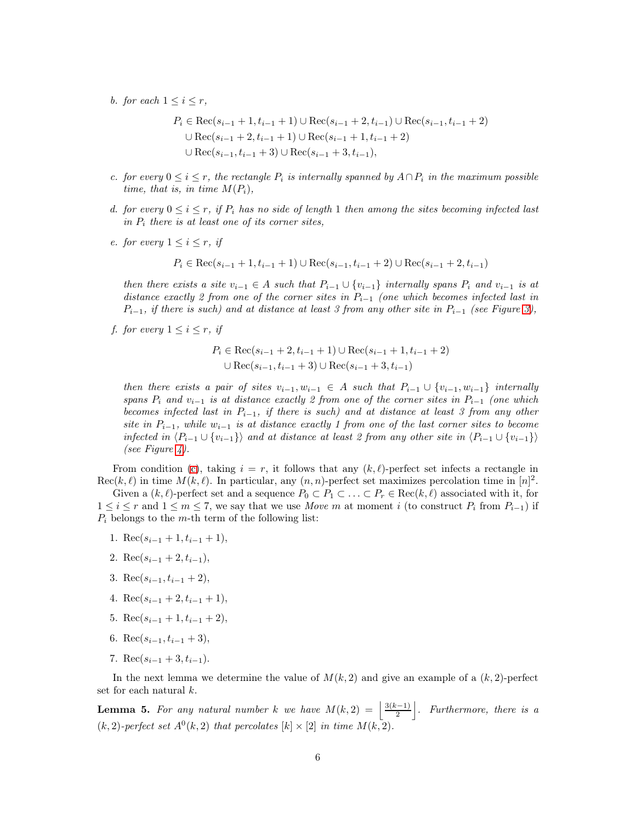b. for each  $1 \leq i \leq r$ ,

$$
P_i \in \text{Rec}(s_{i-1} + 1, t_{i-1} + 1) \cup \text{Rec}(s_{i-1} + 2, t_{i-1}) \cup \text{Rec}(s_{i-1}, t_{i-1} + 2)
$$
  

$$
\cup \text{Rec}(s_{i-1} + 2, t_{i-1} + 1) \cup \text{Rec}(s_{i-1} + 1, t_{i-1} + 2)
$$
  

$$
\cup \text{Rec}(s_{i-1}, t_{i-1} + 3) \cup \text{Rec}(s_{i-1} + 3, t_{i-1}),
$$

- <span id="page-5-0"></span>c. for every  $0 \le i \le r$ , the rectangle  $P_i$  is internally spanned by  $A \cap P_i$  in the maximum possible time, that is, in time  $M(P_i)$ ,
- d. for every  $0 \le i \le r$ , if  $P_i$  has no side of length 1 then among the sites becoming infected last in  $P_i$  there is at least one of its corner sites,
- e. for every  $1 \leq i \leq r$ , if

$$
P_i \in \text{Rec}(s_{i-1} + 1, t_{i-1} + 1) \cup \text{Rec}(s_{i-1}, t_{i-1} + 2) \cup \text{Rec}(s_{i-1} + 2, t_{i-1})
$$

then there exists a site  $v_{i-1} \in A$  such that  $P_{i-1} \cup \{v_{i-1}\}\$  internally spans  $P_i$  and  $v_{i-1}$  is at distance exactly 2 from one of the corner sites in  $P_{i-1}$  (one which becomes infected last in  $P_{i-1}$ , if there is such) and at distance at least 3 from any other site in  $P_{i-1}$  (see Figure [3\)](#page-6-0),

<span id="page-5-2"></span>f. for every  $1 \leq i \leq r$ , if

$$
P_i \in \text{Rec}(s_{i-1} + 2, t_{i-1} + 1) \cup \text{Rec}(s_{i-1} + 1, t_{i-1} + 2)
$$
  

$$
\cup \text{Rec}(s_{i-1}, t_{i-1} + 3) \cup \text{Rec}(s_{i-1} + 3, t_{i-1})
$$

then there exists a pair of sites  $v_{i-1}, w_{i-1} \in A$  such that  $P_{i-1} \cup \{v_{i-1}, w_{i-1}\}$  internally spans  $P_i$  and  $v_{i-1}$  is at distance exactly 2 from one of the corner sites in  $P_{i-1}$  (one which becomes infected last in  $P_{i-1}$ , if there is such) and at distance at least 3 from any other site in  $P_{i-1}$ , while  $w_{i-1}$  is at distance exactly 1 from one of the last corner sites to become infected in  $\langle P_{i-1} \cup \{v_{i-1}\}\rangle$  and at distance at least 2 from any other site in  $\langle P_{i-1} \cup \{v_{i-1}\}\rangle$ (see Figure [4\)](#page-6-1).

From condition [\(c\)](#page-5-0), taking  $i = r$ , it follows that any  $(k, \ell)$ -perfect set infects a rectangle in  $\text{Rec}(k, \ell)$  in time  $M(k, \ell)$ . In particular, any  $(n, n)$ -perfect set maximizes percolation time in  $[n]^2$ .

Given a  $(k, \ell)$ -perfect set and a sequence  $P_0 \subset P_1 \subset \ldots \subset P_r \in \text{Rec}(k, \ell)$  associated with it, for  $1 \leq i \leq r$  and  $1 \leq m \leq 7$ , we say that we use Move m at moment i (to construct  $P_i$  from  $P_{i-1}$ ) if  $P_i$  belongs to the m-th term of the following list:

- 1. Rec( $s_{i-1}$  + 1,  $t_{i-1}$  + 1),
- 2. Rec( $s_{i-1}$  + 2,  $t_{i-1}$ ),
- 3. Rec( $s_{i-1}, t_{i-1} + 2$ ),
- 4. Rec( $s_{i-1} + 2, t_{i-1} + 1$ ),
- 5. Rec( $s_{i-1}+1, t_{i-1}+2$ ),
- 6. Rec( $s_{i-1}, t_{i-1} + 3$ ),
- 7. Rec( $s_{i-1} + 3, t_{i-1}$ ).

In the next lemma we determine the value of  $M(k, 2)$  and give an example of a  $(k, 2)$ -perfect set for each natural k.

<span id="page-5-1"></span>**Lemma 5.** For any natural number k we have  $M(k, 2) = \frac{3(k-1)}{2}$  $\frac{(n-1)}{2}$ . Furthermore, there is a  $(k, 2)$ -perfect set  $A^0(k, 2)$  that percolates  $[k] \times [2]$  in time  $M(k, 2)$ .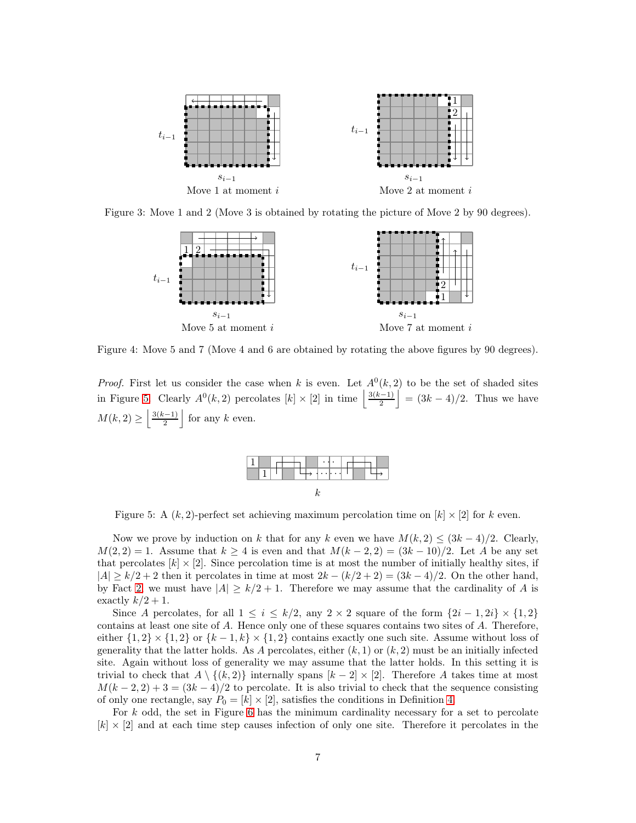

Figure 3: Move 1 and 2 (Move 3 is obtained by rotating the picture of Move 2 by 90 degrees).

<span id="page-6-0"></span>

<span id="page-6-1"></span>Figure 4: Move 5 and 7 (Move 4 and 6 are obtained by rotating the above figures by 90 degrees).

*Proof.* First let us consider the case when k is even. Let  $A^0(k,2)$  to be the set of shaded sites in Figure [5.](#page-6-2) Clearly  $A^0(k,2)$  percolates  $[k] \times [2]$  in time  $\frac{3(k-1)}{2}$  $\left| \frac{(-1)}{2} \right| = (3k - 4)/2$ . Thus we have  $M(k, 2) \geq \left\lfloor \frac{3(k-1)}{2} \right\rfloor$  $\frac{k-1}{2}$  for any k even.



<span id="page-6-2"></span>Figure 5: A  $(k, 2)$ -perfect set achieving maximum percolation time on  $[k] \times [2]$  for k even.

Now we prove by induction on k that for any k even we have  $M(k, 2) \leq (3k - 4)/2$ . Clearly,  $M(2, 2) = 1$ . Assume that  $k > 4$  is even and that  $M(k-2, 2) = (3k-10)/2$ . Let A be any set that percolates  $[k] \times [2]$ . Since percolation time is at most the number of initially healthy sites, if  $|A| \ge k/2 + 2$  then it percolates in time at most  $2k - (k/2 + 2) = (3k - 4)/2$ . On the other hand, by Fact [2,](#page-2-2) we must have  $|A| \geq k/2 + 1$ . Therefore we may assume that the cardinality of A is exactly  $k/2 + 1$ .

Since A percolates, for all  $1 \leq i \leq k/2$ , any  $2 \times 2$  square of the form  $\{2i-1, 2i\} \times \{1, 2\}$ contains at least one site of A. Hence only one of these squares contains two sites of A. Therefore, either  $\{1,2\} \times \{1,2\}$  or  $\{k-1,k\} \times \{1,2\}$  contains exactly one such site. Assume without loss of generality that the latter holds. As A percolates, either  $(k, 1)$  or  $(k, 2)$  must be an initially infected site. Again without loss of generality we may assume that the latter holds. In this setting it is trivial to check that  $A \setminus \{(k, 2)\}\$  internally spans  $[k - 2] \times [2]$ . Therefore A takes time at most  $M(k-2,2)+3=(3k-4)/2$  to percolate. It is also trivial to check that the sequence consisting of only one rectangle, say  $P_0 = [k] \times [2]$ , satisfies the conditions in Definition [4.](#page-4-1)

For  $k$  odd, the set in Figure [6](#page-7-1) has the minimum cardinality necessary for a set to percolate  $[k] \times [2]$  and at each time step causes infection of only one site. Therefore it percolates in the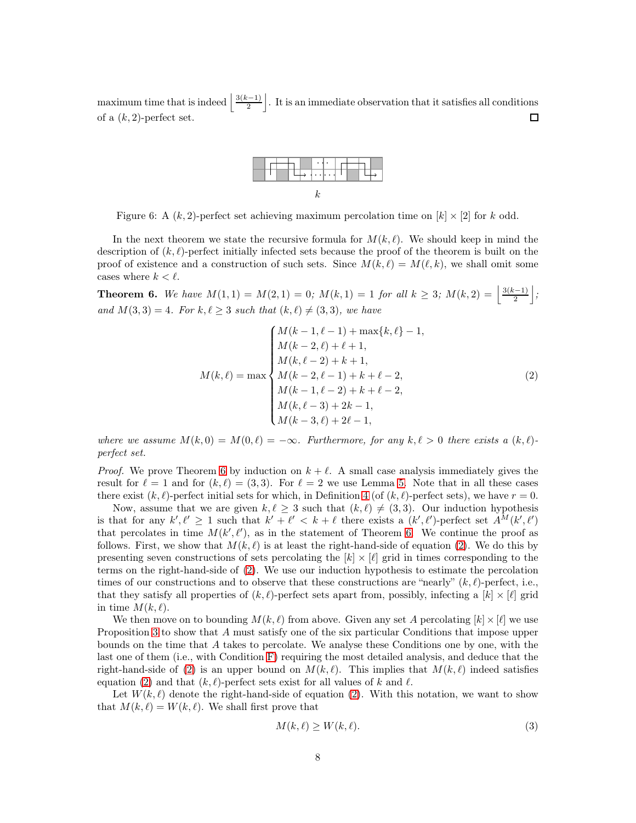maximum time that is indeed  $\frac{3(k-1)}{2}$  $\frac{(-1)}{2}$ . It is an immediate observation that it satisfies all conditions of a  $(k, 2)$ -perfect set. 囗



<span id="page-7-1"></span>Figure 6: A  $(k, 2)$ -perfect set achieving maximum percolation time on  $[k] \times [2]$  for k odd.

In the next theorem we state the recursive formula for  $M(k, \ell)$ . We should keep in mind the description of  $(k, \ell)$ -perfect initially infected sets because the proof of the theorem is built on the proof of existence and a construction of such sets. Since  $M(k, \ell) = M(\ell, k)$ , we shall omit some cases where  $k < \ell$ .

<span id="page-7-0"></span>**Theorem 6.** We have  $M(1,1) = M(2,1) = 0$ ;  $M(k,1) = 1$  for all  $k \geq 3$ ;  $M(k,2) = \frac{3(k-1)}{2}$  $\frac{(-1)}{2}$  ; and  $M(3,3) = 4$ . For  $k, \ell \geq 3$  such that  $(k, \ell) \neq (3,3)$ , we have

<span id="page-7-2"></span>
$$
M(k, \ell) = \max \begin{cases} M(k-1, \ell-1) + \max\{k, \ell\} - 1, \\ M(k-2, \ell) + \ell + 1, \\ M(k, \ell-2) + k + 1, \\ M(k-2, \ell-1) + k + \ell - 2, \\ M(k-1, \ell-2) + k + \ell - 2, \\ M(k, \ell-3) + 2k - 1, \\ M(k-3, \ell) + 2\ell - 1, \end{cases} (2)
$$

where we assume  $M(k, 0) = M(0, \ell) = -\infty$ . Furthermore, for any  $k, \ell > 0$  there exists a  $(k, \ell)$ perfect set.

*Proof.* We prove Theorem [6](#page-7-0) by induction on  $k + \ell$ . A small case analysis immediately gives the result for  $\ell = 1$  and for  $(k, \ell) = (3, 3)$ . For  $\ell = 2$  we use Lemma [5.](#page-5-1) Note that in all these cases there exist  $(k, \ell)$ -perfect initial sets for which, in Definition [4](#page-4-1) (of  $(k, \ell)$ -perfect sets), we have  $r = 0$ .

Now, assume that we are given  $k, \ell \geq 3$  such that  $(k, \ell) \neq (3, 3)$ . Our induction hypothesis is that for any  $k', \ell' \geq 1$  such that  $k' + \ell' < k + \ell$  there exists a  $(k', \ell')$ -perfect set  $A^M(k', \ell')$ that percolates in time  $M(k', \ell')$ , as in the statement of Theorem [6.](#page-7-0) We continue the proof as follows. First, we show that  $M(k, \ell)$  is at least the right-hand-side of equation [\(2\)](#page-7-2). We do this by presenting seven constructions of sets percolating the  $[k] \times [l]$  grid in times corresponding to the terms on the right-hand-side of [\(2\)](#page-7-2). We use our induction hypothesis to estimate the percolation times of our constructions and to observe that these constructions are "nearly"  $(k, \ell)$ -perfect, i.e., that they satisfy all properties of  $(k, \ell)$ -perfect sets apart from, possibly, infecting a  $[k] \times [\ell]$  grid in time  $M(k, \ell)$ .

We then move on to bounding  $M(k, \ell)$  from above. Given any set A percolating  $[k] \times [\ell]$  we use Proposition [3](#page-2-1) to show that A must satisfy one of the six particular Conditions that impose upper bounds on the time that A takes to percolate. We analyse these Conditions one by one, with the last one of them (i.e., with Condition [F\)](#page-10-1) requiring the most detailed analysis, and deduce that the right-hand-side of [\(2\)](#page-7-2) is an upper bound on  $M(k, \ell)$ . This implies that  $M(k, \ell)$  indeed satisfies equation [\(2\)](#page-7-2) and that  $(k, \ell)$ -perfect sets exist for all values of k and  $\ell$ .

Let  $W(k, \ell)$  denote the right-hand-side of equation [\(2\)](#page-7-2). With this notation, we want to show that  $M(k, \ell) = W(k, \ell)$ . We shall first prove that

<span id="page-7-3"></span>
$$
M(k,\ell) \ge W(k,\ell). \tag{3}
$$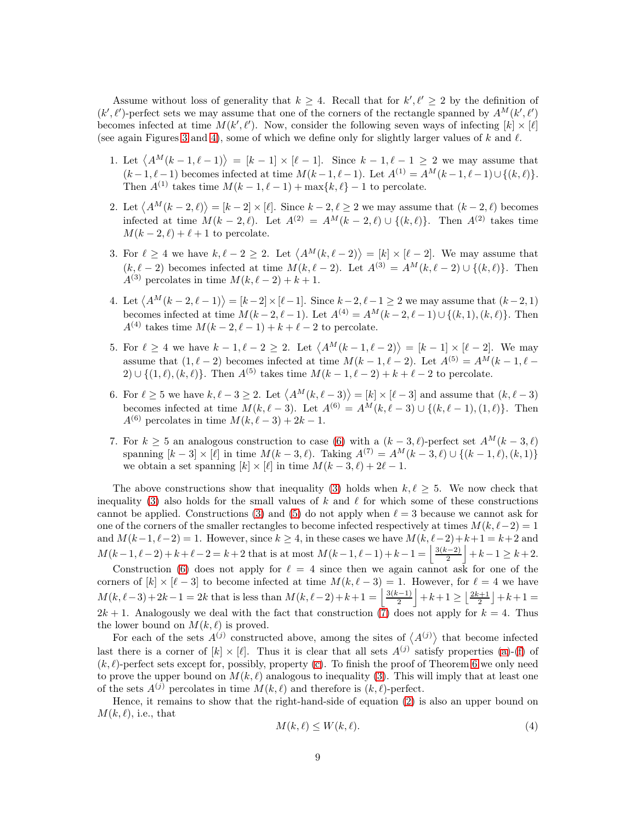Assume without loss of generality that  $k \geq 4$ . Recall that for  $k', \ell' \geq 2$  by the definition of  $(k', \ell')$ -perfect sets we may assume that one of the corners of the rectangle spanned by  $A^M(k', \ell')$ becomes infected at time  $M(k', \ell')$ . Now, consider the following seven ways of infecting  $[k] \times [\ell]$ (see again Figures [3](#page-6-0) and [4\)](#page-6-1), some of which we define only for slightly larger values of k and  $\ell$ .

- 1. Let  $\langle A^M(k-1,\ell-1)\rangle = [k-1] \times [\ell-1]$ . Since  $k-1,\ell-1 \geq 2$  we may assume that  $(k-1, \ell-1)$  becomes infected at time  $M(k-1, \ell-1)$ . Let  $A^{(1)} = A^M(k-1, \ell-1) \cup \{(k, \ell)\}.$ Then  $A^{(1)}$  takes time  $M(k-1, \ell-1) + \max\{k, \ell\} - 1$  to percolate.
- 2. Let  $\langle A^M(k-2,\ell) \rangle = [k-2] \times [\ell]$ . Since  $k-2, \ell \geq 2$  we may assume that  $(k-2,\ell)$  becomes infected at time  $M(k-2,\ell)$ . Let  $A^{(2)} = A^M(k-2,\ell) \cup \{(k,\ell)\}\$ . Then  $A^{(2)}$  takes time  $M(k-2,\ell)+\ell+1$  to percolate.
- <span id="page-8-1"></span>3. For  $\ell \geq 4$  we have  $k, \ell - 2 \geq 2$ . Let  $\langle A^M(k, \ell - 2) \rangle = [k] \times [\ell - 2]$ . We may assume that  $(k, \ell - 2)$  becomes infected at time  $M(k, \ell - 2)$ . Let  $A^{(3)} = A^M(k, \ell - 2) \cup \{(k, \ell)\}\$ . Then  $A^{(3)}$  percolates in time  $M(k, \ell-2) + k + 1$ .
- 4. Let  $\langle A^M(k-2,\ell-1)\rangle = [k-2] \times [\ell-1]$ . Since  $k-2,\ell-1 \geq 2$  we may assume that  $(k-2,1)$ becomes infected at time  $M(k-2, \ell-1)$ . Let  $A^{(4)} = A^M(k-2, \ell-1) \cup \{(k, 1), (k, \ell)\}\.$  Then  $A^{(4)}$  takes time  $M(k-2, \ell-1)+k+\ell-2$  to percolate.
- <span id="page-8-2"></span>5. For  $\ell \geq 4$  we have  $k-1, \ell-2 \geq 2$ . Let  $\langle A^M(k-1,\ell-2) \rangle = [k-1] \times [\ell-2]$ . We may assume that  $(1, \ell - 2)$  becomes infected at time  $M(k - 1, \ell - 2)$ . Let  $A^{(5)} = A^M(k - 1, \ell - 1)$ 2) ∪ { $(1, l), (k, l)$ }. Then  $A^{(5)}$  takes time  $M(k-1, l-2) + k + l - 2$  to percolate.
- <span id="page-8-0"></span>6. For  $\ell \geq 5$  we have  $k, \ell - 3 \geq 2$ . Let  $\langle A^M(k, \ell - 3) \rangle = [k] \times [\ell - 3]$  and assume that  $(k, \ell - 3)$ becomes infected at time  $M(k, \ell-3)$ . Let  $A^{(6)} = A^M(k, \ell-3) \cup \{(k, \ell-1), (1, \ell)\}\.$  Then  $A^{(6)}$  percolates in time  $M(k, \ell-3)+2k-1$ .
- <span id="page-8-3"></span>7. For  $k \geq 5$  an analogous construction to case [\(6\)](#page-8-0) with a  $(k-3, \ell)$ -perfect set  $A^M(k-3, \ell)$ spanning  $[k-3] \times [\ell]$  in time  $M(k-3,\ell)$ . Taking  $A^{(7)} = A^M(k-3,\ell) \cup \{(k-1,\ell),(k,1)\}$ we obtain a set spanning  $[k] \times [l]$  in time  $M(k-3, l) + 2l - 1$ .

The above constructions show that inequality [\(3\)](#page-7-3) holds when  $k, \ell \geq 5$ . We now check that inequality [\(3\)](#page-7-3) also holds for the small values of k and  $\ell$  for which some of these constructions cannot be applied. Constructions [\(3\)](#page-8-1) and [\(5\)](#page-8-2) do not apply when  $\ell = 3$  because we cannot ask for one of the corners of the smaller rectangles to become infected respectively at times  $M(k, \ell-2) = 1$ and  $M(k-1, \ell-2) = 1$ . However, since  $k \geq 4$ , in these cases we have  $M(k, \ell-2) + k+1 = k+2$  and  $M(k-1, \ell-2) + k + \ell - 2 = k+2$  that is at most  $M(k-1, \ell-1) + k-1 = \frac{3(k-2)}{2}$  $\frac{(-2)}{2}$  + k - 1 ≥ k + 2.

Construction [\(6\)](#page-8-0) does not apply for  $\ell = 4$  since then we again cannot ask for one of the corners of  $[k] \times [\ell-3]$  to become infected at time  $M(k, \ell-3) = 1$ . However, for  $\ell = 4$  we have  $M(k, \ell-3)+2k-1=2k$  that is less than  $M(k, \ell-2)+k+1=\frac{3(k-1)}{2}$  $\left\lfloor\frac{n-1}{2}\right\rfloor + k+1 \geq \left\lfloor\frac{2k+1}{2}\right\rfloor + k+1 =$  $2k + 1$ . Analogously we deal with the fact that construction  $(\bar{7})$  does not apply for  $k = 4$ . Thus the lower bound on  $M(k, \ell)$  is proved.

For each of the sets  $A^{(j)}$  constructed above, among the sites of  $\langle A^{(j)} \rangle$  that become infected last there is a corner of  $[k] \times [\ell]$ . Thus it is clear that all sets  $A^{(j)}$  satisfy properties [\(a\)](#page-4-2)-[\(f\)](#page-5-2) of  $(k, \ell)$ -perfect sets except for, possibly, property [\(c\)](#page-5-0). To finish the proof of Theorem [6](#page-7-0) we only need to prove the upper bound on  $M(k, \ell)$  analogous to inequality [\(3\)](#page-7-3). This will imply that at least one of the sets  $A^{(j)}$  percolates in time  $M(k, \ell)$  and therefore is  $(k, \ell)$ -perfect.

Hence, it remains to show that the right-hand-side of equation [\(2\)](#page-7-2) is also an upper bound on  $M(k, \ell)$ , i.e., that

<span id="page-8-4"></span>
$$
M(k,\ell) \le W(k,\ell). \tag{4}
$$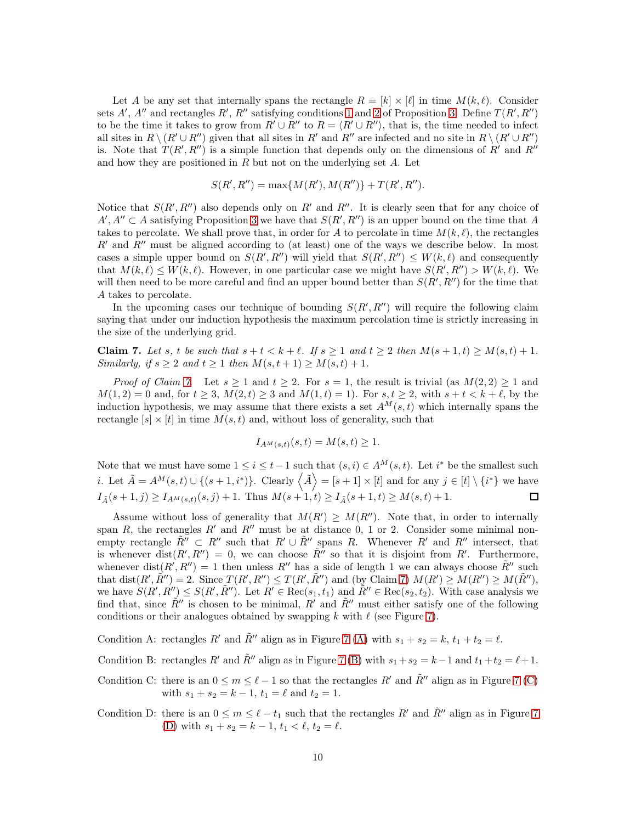Let A be any set that internally spans the rectangle  $R = [k] \times [\ell]$  in time  $M(k, \ell)$ . Consider sets A', A'' and rectangles R', R'' satisfying conditions [1](#page-3-2) and [2](#page-3-3) of Proposition [3.](#page-2-1) Define  $T(R', R'')$ to be the time it takes to grow from  $R' \cup R''$  to  $R = \langle R' \cup R'' \rangle$ , that is, the time needed to infect all sites in  $R \setminus (R' \cup R'')$  given that all sites in R' and R'' are infected and no site in  $R \setminus (R' \cup R'')$ is. Note that  $T(R', R'')$  is a simple function that depends only on the dimensions of R' and R'' and how they are positioned in  $R$  but not on the underlying set  $A$ . Let

$$
S(R', R'') = \max\{M(R'), M(R'')\} + T(R', R'').
$$

Notice that  $S(R', R'')$  also depends only on R' and R''. It is clearly seen that for any choice of  $A', A'' \subset A$  satisfying Proposition [3](#page-2-1) we have that  $S(R', R'')$  is an upper bound on the time that A takes to percolate. We shall prove that, in order for A to percolate in time  $M(k, \ell)$ , the rectangles  $R'$  and  $R''$  must be aligned according to (at least) one of the ways we describe below. In most cases a simple upper bound on  $S(R', R'')$  will yield that  $S(R', R'') \leq W(k, \ell)$  and consequently that  $M(k, \ell) \leq W(k, \ell)$ . However, in one particular case we might have  $S(R', R'') > W(k, \ell)$ . We will then need to be more careful and find an upper bound better than  $S(R', R'')$  for the time that A takes to percolate.

In the upcoming cases our technique of bounding  $S(R', R'')$  will require the following claim saying that under our induction hypothesis the maximum percolation time is strictly increasing in the size of the underlying grid.

<span id="page-9-1"></span>**Claim 7.** Let s, t be such that  $s + t < k + \ell$ . If  $s \ge 1$  and  $t \ge 2$  then  $M(s + 1, t) \ge M(s, t) + 1$ . Similarly, if  $s \geq 2$  and  $t \geq 1$  then  $M(s, t + 1) \geq M(s, t) + 1$ .

*Proof of Claim [7](#page-9-1).* Let  $s \ge 1$  and  $t \ge 2$ . For  $s = 1$ , the result is trivial (as  $M(2, 2) \ge 1$  and  $M(1, 2) = 0$  and, for  $t \ge 3$ ,  $M(2, t) \ge 3$  and  $M(1, t) = 1$ ). For  $s, t \ge 2$ , with  $s + t < k + \ell$ , by the induction hypothesis, we may assume that there exists a set  $A^M(s,t)$  which internally spans the rectangle  $[s] \times [t]$  in time  $M(s, t)$  and, without loss of generality, such that

$$
I_{A^{M}(s,t)}(s,t) = M(s,t) \ge 1.
$$

Note that we must have some  $1 \leq i \leq t-1$  such that  $(s, i) \in A^{M}(s, t)$ . Let  $i^*$  be the smallest such *i*. Let  $\tilde{A} = A^M(s, t) \cup \{(s + 1, i^*)\}$ . Clearly  $\langle \tilde{A} \rangle = [s + 1] \times [t]$  and for any  $j \in [t] \setminus \{i^*\}$  we have  $I_{\tilde{A}}(s+1,j) \geq I_{A^{M}(s,t)}(s,j) + 1.$  Thus  $M(s+1,t) \geq I_{\tilde{A}}(s+1,t) \geq M(s,t) + 1.$ 

Assume without loss of generality that  $M(R') \geq M(R'')$ . Note that, in order to internally span R, the rectangles R' and R'' must be at distance 0, 1 or 2. Consider some minimal nonempty rectangle  $\tilde{R}'' \subset R''$  such that  $R' \cup \tilde{R}''$  spans R. Whenever R' and R'' intersect, that is whenever dist $(R', R'') = 0$ , we can choose  $\tilde{R''}$  so that it is disjoint from R'. Furthermore, whenever dist $(R', R'') = 1$  then unless  $R''$  has a side of length 1 we can always choose  $\tilde{R}''$  such that dist $(R', \tilde{R}'') = 2$ . Since  $T(R', R'') \le T(R', \tilde{R}'')$  and (by Claim [7\)](#page-9-1)  $M(R') \ge M(R'') \ge M(\tilde{R}'')$ , we have  $S(R', R'') \leq S(R', \tilde{R}'')$ . Let  $R' \in \text{Rec}(s_1, t_1)$  and  $\tilde{R}'' \in \text{Rec}(s_2, t_2)$ . With case analysis we find that, since  $\tilde{R}''$  is chosen to be minimal,  $R'$  and  $\tilde{R}''$  must either satisfy one of the following conditions or their analogues obtained by swapping k with  $\ell$  (see Figure [7\)](#page-10-2).

<span id="page-9-3"></span><span id="page-9-2"></span>Condition A: rectangles R' and  $\tilde{R}''$  align as in Figure [7](#page-10-2) [\(A\)](#page-9-2) with  $s_1 + s_2 = k$ ,  $t_1 + t_2 = \ell$ .

- <span id="page-9-4"></span>Condition B: rectangles R' and  $\tilde{R}''$  align as in Figure [7](#page-10-2) [\(B\)](#page-9-3) with  $s_1 + s_2 = k - 1$  and  $t_1 + t_2 = \ell + 1$ .
- Condition C: there is an  $0 \le m \le \ell 1$  so that the rectangles R' and  $\tilde{R}$ " align as in Figure [7](#page-10-2) [\(C\)](#page-9-4) with  $s_1 + s_2 = k - 1$ ,  $t_1 = \ell$  and  $t_2 = 1$ .
- <span id="page-9-0"></span>Condition D: there is an  $0 \le m \le \ell - t_1$  such that the rectangles R' and  $\tilde{R}''$  align as in Figure [7](#page-10-2) [\(D\)](#page-9-0) with  $s_1 + s_2 = k - 1$ ,  $t_1 < \ell$ ,  $t_2 = \ell$ .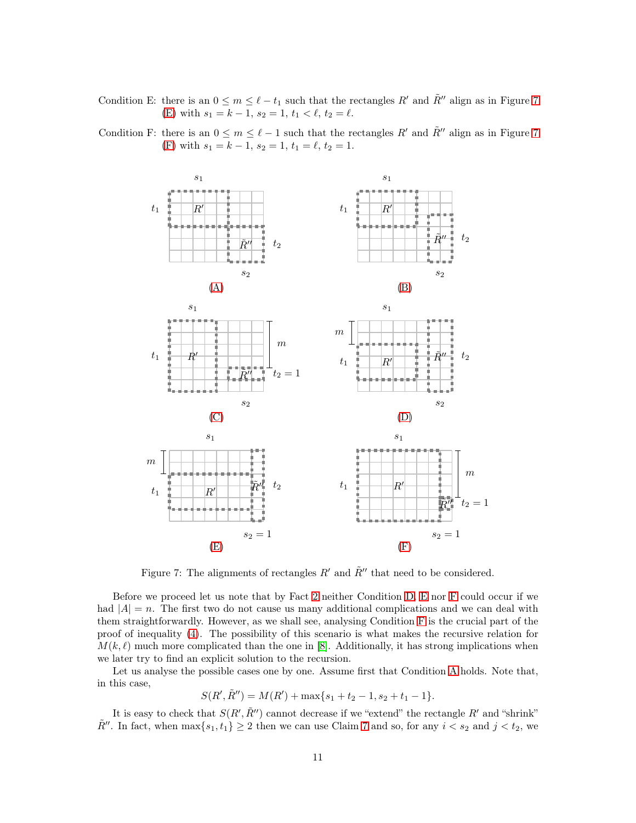<span id="page-10-0"></span>Condition E: there is an  $0 \le m \le \ell - t_1$  such that the rectangles R' and  $\tilde{R}''$  align as in Figure [7](#page-10-2) [\(E\)](#page-10-0) with  $s_1 = k - 1$ ,  $s_2 = 1$ ,  $t_1 < \ell$ ,  $t_2 = \ell$ .



<span id="page-10-1"></span>Condition F: there is an  $0 \le m \le \ell - 1$  such that the rectangles R' and  $\tilde{R}$ " align as in Figure [7](#page-10-2) [\(F\)](#page-10-1) with  $s_1 = k - 1$ ,  $s_2 = 1$ ,  $t_1 = \ell$ ,  $t_2 = 1$ .

<span id="page-10-2"></span>Figure 7: The alignments of rectangles  $R'$  and  $\tilde{R}''$  that need to be considered.

Before we proceed let us note that by Fact [2](#page-2-2) neither Condition [D,](#page-9-0) [E](#page-10-0) nor [F](#page-10-1) could occur if we had  $|A| = n$ . The first two do not cause us many additional complications and we can deal with them straightforwardly. However, as we shall see, analysing Condition [F](#page-10-1) is the crucial part of the proof of inequality [\(4\)](#page-8-4). The possibility of this scenario is what makes the recursive relation for  $M(k, \ell)$  much more complicated than the one in [\[8\]](#page-26-9). Additionally, it has strong implications when we later try to find an explicit solution to the recursion.

Let us analyse the possible cases one by one. Assume first that Condition [A](#page-9-2) holds. Note that, in this case,

 $S(R', \tilde{R}'') = M(R') + \max\{s_1 + t_2 - 1, s_2 + t_1 - 1\}.$ 

It is easy to check that  $S(R', \tilde{R}'')$  cannot decrease if we "extend" the rectangle  $R'$  and "shrink"  $\tilde{R}''$ . In fact, when  $\max\{s_1, t_1\} \geq 2$  then we can use Claim [7](#page-9-1) and so, for any  $i < s_2$  and  $j < t_2$ , we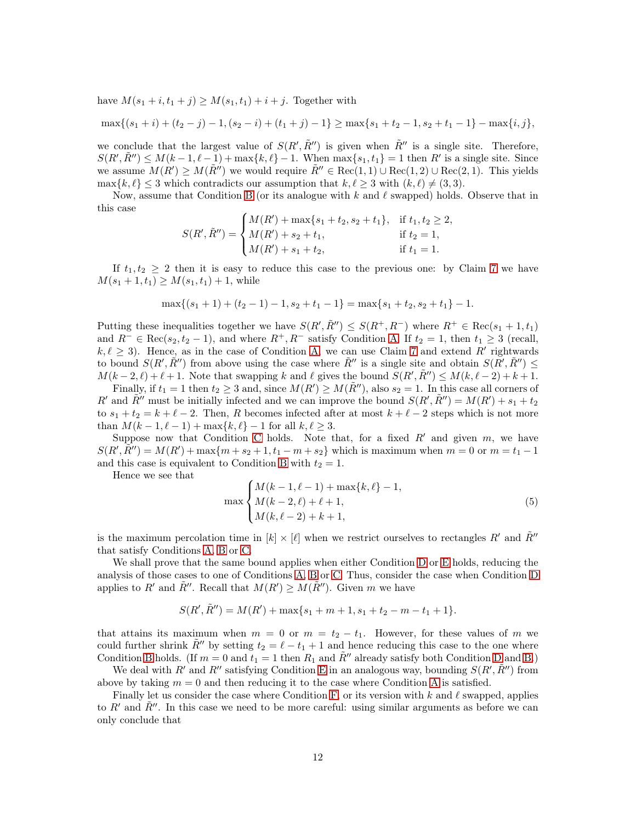have  $M(s_1 + i, t_1 + j) \geq M(s_1, t_1) + i + j$ . Together with

$$
\max\{(s_1+i)+(t_2-j)-1,(s_2-i)+(t_1+j)-1\}\geq \max\{s_1+t_2-1,s_2+t_1-1\}-\max\{i,j\},\
$$

we conclude that the largest value of  $S(R', \tilde{R}'')$  is given when  $\tilde{R}''$  is a single site. Therefore,  $S(R', \tilde{R}'') \leq M(k-1, \ell-1) + \max\{k, \ell\} - 1$ . When  $\max\{s_1, t_1\} = 1$  then  $R'$  is a single site. Since we assume  $M(R') \geq M(\tilde{R}'')$  we would require  $\tilde{R}'' \in \text{Rec}(1,1) \cup \text{Rec}(1,2) \cup \text{Rec}(2,1)$ . This yields  $\max\{k,\ell\} \leq 3$  which contradicts our assumption that  $k,\ell \geq 3$  with  $(k,\ell) \neq (3,3)$ .

Now, assume that Condition [B](#page-9-3) (or its analogue with k and  $\ell$  swapped) holds. Observe that in this case

$$
S(R', \tilde{R}'') = \begin{cases} M(R') + \max\{s_1 + t_2, s_2 + t_1\}, & \text{if } t_1, t_2 \ge 2, \\ M(R') + s_2 + t_1, & \text{if } t_2 = 1, \\ M(R') + s_1 + t_2, & \text{if } t_1 = 1. \end{cases}
$$

If  $t_1, t_2 \geq 2$  then it is easy to reduce this case to the previous one: by Claim [7](#page-9-1) we have  $M(s_1 + 1, t_1) \geq M(s_1, t_1) + 1$ , while

$$
\max\{(s_1+1)+(t_2-1)-1,s_2+t_1-1\}=\max\{s_1+t_2,s_2+t_1\}-1.
$$

Putting these inequalities together we have  $S(R', \tilde{R}'') \leq S(R^+, R^-)$  where  $R^+ \in \text{Rec}(s_1 + 1, t_1)$ and  $R^{-} \in \text{Rec}(s_2, t_2 - 1)$ , and where  $R^{+}, R^{-}$  satisfy Condition [A.](#page-9-2) If  $t_2 = 1$ , then  $t_1 \geq 3$  (recall,  $k, \ell \geq 3$ ). Hence, as in the case of Condition [A,](#page-9-2) we can use Claim [7](#page-9-1) and extend R' rightwards to bound  $S(R', \tilde{R}'')$  from above using the case where  $\tilde{R}''$  is a single site and obtain  $S(R', \tilde{R}'') \leq$  $M(k-2,\ell)+\ell+1$ . Note that swapping k and  $\ell$  gives the bound  $S(R',\tilde{R}'') \leq M(k,\ell-2)+k+1$ .

Finally, if  $t_1 = 1$  then  $t_2 \geq 3$  and, since  $M(R') \geq M(\tilde{R}'')$ , also  $s_2 = 1$ . In this case all corners of R' and  $\tilde{R}$ '' must be initially infected and we can improve the bound  $S(R', \tilde{R}'') = M(R') + s_1 + t_2$ to  $s_1 + t_2 = k + \ell - 2$ . Then, R becomes infected after at most  $k + \ell - 2$  steps which is not more than  $M(k - 1, \ell - 1) + \max\{k, \ell\} - 1$  for all  $k, \ell \geq 3$ .

Suppose now that [C](#page-9-4)ondition C holds. Note that, for a fixed  $R'$  and given  $m$ , we have  $S(R', \tilde{R}'') = M(R') + \max\{m + s_2 + 1, t_1 - m + s_2\}$  which is maximum when  $m = 0$  or  $m = t_1 - 1$ and this case is equivalent to Condition [B](#page-9-3) with  $t_2 = 1$ .

Hence we see that

<span id="page-11-0"></span>
$$
\max\begin{cases} M(k-1,\ell-1) + \max\{k,\ell\} - 1, \\ M(k-2,\ell) + \ell + 1, \\ M(k,\ell-2) + k + 1, \end{cases} \tag{5}
$$

is the maximum percolation time in  $[k] \times [\ell]$  when we restrict ourselves to rectangles R' and R''' that satisfy Conditions [A,](#page-9-2) [B](#page-9-3) or [C.](#page-9-4)

We shall prove that the same bound applies when either Condition [D](#page-9-0) or [E](#page-10-0) holds, reducing the analysis of those cases to one of Conditions [A,](#page-9-2) [B](#page-9-3) or [C.](#page-9-4) Thus, consider the case when Condition [D](#page-9-0) applies to R' and  $\tilde{R}''$ . Recall that  $M(R') \geq M(\tilde{R}'')$ . Given m we have

$$
S(R', \tilde{R}'') = M(R') + \max\{s_1 + m + 1, s_1 + t_2 - m - t_1 + 1\}.
$$

that attains its maximum when  $m = 0$  or  $m = t_2 - t_1$ . However, for these values of m we could further shrink  $\tilde{R}''$  by setting  $t_2 = \ell - t_1 + 1$  and hence reducing this case to the one where Condition [B](#page-9-3) holds. (If  $m = 0$  and  $t_1 = 1$  then  $R_1$  and  $\tilde{R}''$  already satisfy both Condition [D](#page-9-0) and [B.](#page-9-3))

We deal with R' and R'' satisfying Condition [E](#page-10-0) in an analogous way, bounding  $S(R', \tilde{R}'')$  from above by taking  $m = 0$  and then reducing it to the case where Condition [A](#page-9-2) is satisfied.

Finally let us consider the case where Condition [F,](#page-10-1) or its version with  $k$  and  $\ell$  swapped, applies to R' and  $\bar{R}$ ''. In this case we need to be more careful: using similar arguments as before we can only conclude that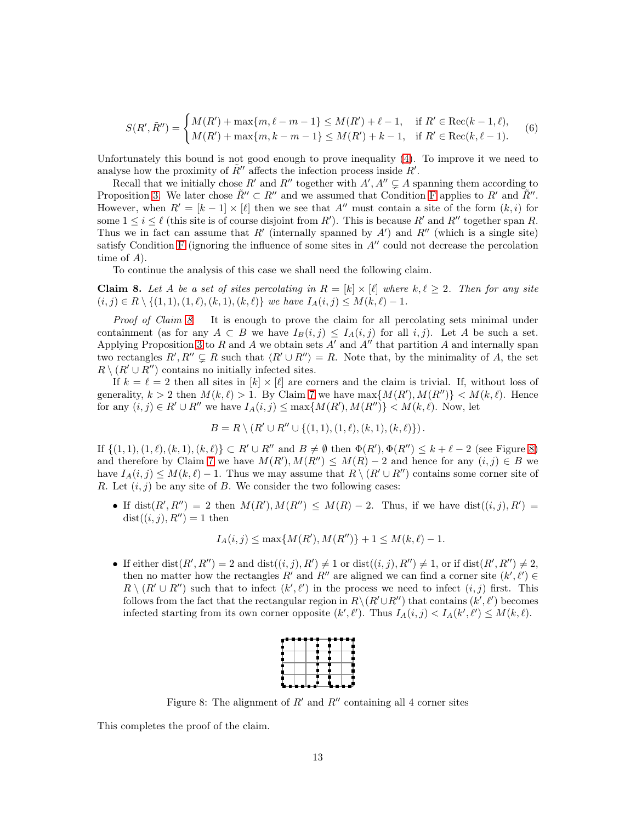<span id="page-12-2"></span>
$$
S(R', \tilde{R}'') = \begin{cases} M(R') + \max\{m, \ell - m - 1\} \le M(R') + \ell - 1, & \text{if } R' \in \text{Rec}(k - 1, \ell), \\ M(R') + \max\{m, k - m - 1\} \le M(R') + k - 1, & \text{if } R' \in \text{Rec}(k, \ell - 1). \end{cases} \tag{6}
$$

Unfortunately this bound is not good enough to prove inequality [\(4\)](#page-8-4). To improve it we need to analyse how the proximity of  $\tilde{R}''$  affects the infection process inside  $R'$ .

Recall that we initially chose R' and R'' together with  $A', A'' \subsetneq A$  spanning them according to Proposition [3.](#page-2-1) We later chose  $\tilde{R}'' \subset R''$  and we assumed that Condition [F](#page-10-1) applies to  $R'$  and  $\tilde{R}''$ . However, when  $R' = [k-1] \times [l]$  then we see that A'' must contain a site of the form  $(k, i)$  for some  $1 \leq i \leq \ell$  (this site is of course disjoint from R'). This is because R' and R'' together span R. Thus we in fact can assume that  $R'$  (internally spanned by  $A'$ ) and  $R''$  (which is a single site) satisfy Condition [F](#page-10-1) (ignoring the influence of some sites in  $A''$  could not decrease the percolation time of A).

To continue the analysis of this case we shall need the following claim.

<span id="page-12-0"></span>**Claim 8.** Let A be a set of sites percolating in  $R = [k] \times [\ell]$  where  $k, \ell \geq 2$ . Then for any site  $(i, j) \in R \setminus \{(1, 1), (1, \ell), (k, 1), (k, \ell)\}\$  we have  $I_A(i, j) \leq M(k, \ell) - 1$ .

Proof of Claim [8](#page-12-0). It is enough to prove the claim for all percolating sets minimal under containment (as for any  $A \subset B$  we have  $I_B(i,j) \leq I_A(i,j)$  for all  $i,j$ ). Let A be such a set. Applying Proposition [3](#page-2-1) to R and A we obtain sets  $A'$  and  $A''$  that partition A and internally span two rectangles  $R', R'' \subsetneq R$  such that  $\langle R' \cup R'' \rangle = R$ . Note that, by the minimality of A, the set  $R \setminus (R' \cup R'')$  contains no initially infected sites.

If  $k = \ell = 2$  then all sites in  $[k] \times [\ell]$  are corners and the claim is trivial. If, without loss of generality,  $k > 2$  then  $M(k, \ell) > 1$ . By Claim [7](#page-9-1) we have  $\max\{M(R'), M(R'')\} < M(k, \ell)$ . Hence for any  $(i, j) \in R' \cup R''$  we have  $I_A(i, j) \le \max\{M(R'), M(R'')\} < M(k, \ell)$ . Now, let

$$
B = R \setminus (R' \cup R'' \cup \{(1,1), (1,\ell), (k,1), (k,\ell)\}).
$$

If  $\{(1,1),(1,\ell),(k,1),(k,\ell)\}\subset R'\cup R''$  and  $B\neq\emptyset$  then  $\Phi(R'),\Phi(R'')\leq k+\ell-2$  (see Figure [8\)](#page-12-1) and therefore by Claim [7](#page-9-1) we have  $M(R')$ ,  $M(R'') \leq M(R) - 2$  and hence for any  $(i, j) \in B$  we have  $I_A(i, j) \leq M(k, \ell) - 1$ . Thus we may assume that  $R \setminus (R' \cup R'')$  contains some corner site of R. Let  $(i, j)$  be any site of B. We consider the two following cases:

• If dist $(R', R'') = 2$  then  $M(R'), M(R'') \leq M(R) - 2$ . Thus, if we have dist $((i, j), R') =$  $dist((i, j), R'') = 1$  then

$$
I_A(i,j) \le \max\{M(R'), M(R'')\} + 1 \le M(k,\ell) - 1.
$$

• If either dist $(R', R'') = 2$  and  $dist((i, j), R') \neq 1$  or  $dist((i, j), R'') \neq 1$ , or if  $dist(R', R'') \neq 2$ , then no matter how the rectangles R' and R'' are aligned we can find a corner site  $(k', \ell') \in$  $R \setminus (R' \cup R'')$  such that to infect  $(k', \ell')$  in the process we need to infect  $(i, j)$  first. This follows from the fact that the rectangular region in  $R \setminus (R' \cup R'')$  that contains  $(k', \ell')$  becomes infected starting from its own corner opposite  $(k', \ell')$ . Thus  $I_A(i, j) < I_A(k', \ell') \leq M(k, \ell)$ .



<span id="page-12-1"></span>Figure 8: The alignment of  $R'$  and  $R''$  containing all 4 corner sites

This completes the proof of the claim.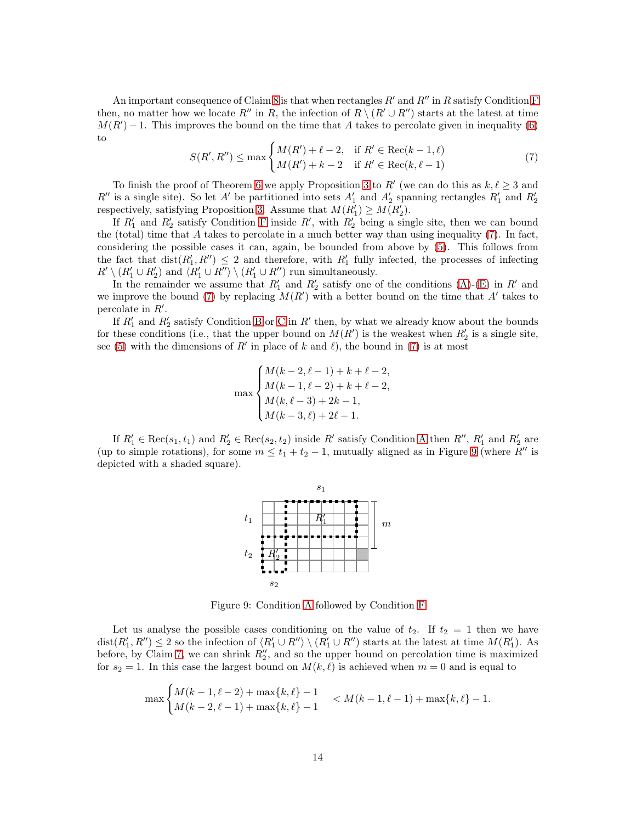An important consequence of Claim [8](#page-12-0) is that when rectangles  $R'$  and  $R''$  in R satisfy Condition [F](#page-10-1) then, no matter how we locate R'' in R, the infection of  $R \setminus (R' \cup R'')$  starts at the latest at time  $M(R') - 1$ . This improves the bound on the time that A takes to percolate given in inequality [\(6\)](#page-12-2) to

<span id="page-13-0"></span>
$$
S(R', R'') \le \max \begin{cases} M(R') + \ell - 2, & \text{if } R' \in \text{Rec}(k - 1, \ell) \\ M(R') + k - 2 & \text{if } R' \in \text{Rec}(k, \ell - 1) \end{cases}
$$
(7)

To finish the proof of Theorem [6](#page-7-0) we apply Proposition [3](#page-2-1) to R' (we can do this as  $k, \ell \geq 3$  and  $R''$  is a single site). So let A' be partitioned into sets  $A'_1$  and  $A'_2$  spanning rectangles  $R'_1$  and  $R'_2$ respectively, satisfying Proposition [3.](#page-2-1) Assume that  $M(R'_1) \geq M(R'_2)$ .

If  $R'_1$  and  $R'_2$  satisfy Condition [F](#page-10-1) inside  $R'$ , with  $R'_2$  being a single site, then we can bound the (total) time that  $A$  takes to percolate in a much better way than using inequality [\(7\)](#page-13-0). In fact, considering the possible cases it can, again, be bounded from above by [\(5\)](#page-11-0). This follows from the fact that  $dist(R'_1, R'') \leq 2$  and therefore, with  $R'_1$  fully infected, the processes of infecting  $R' \setminus (R'_1 \cup R'_2)$  and  $\langle R'_1 \cup R'' \rangle \setminus (R'_1 \cup R'')$  run simultaneously.

In the remainder we assume that  $R'_1$  and  $R'_2$  satisfy one of the conditions [\(A\)](#page-9-2)-[\(E\)](#page-10-0) in R' and we improve the bound [\(7\)](#page-13-0) by replacing  $M(R')$  with a better bound on the time that A' takes to percolate in  $R'$ .

If  $R'_1$  and  $R'_2$  satisfy Condition [B](#page-9-3) or [C](#page-9-4) in  $R'$  then, by what we already know about the bounds for these conditions (i.e., that the upper bound on  $M(R')$  is the weakest when  $R'_2$  is a single site, see [\(5\)](#page-11-0) with the dimensions of R' in place of k and  $\ell$ ), the bound in [\(7\)](#page-13-0) is at most

$$
\max \begin{cases} M(k-2, \ell-1) + k + \ell - 2, \\ M(k-1, \ell-2) + k + \ell - 2, \\ M(k, \ell-3) + 2k - 1, \\ M(k-3, \ell) + 2\ell - 1. \end{cases}
$$

If  $R'_1 \in \text{Rec}(s_1, t_1)$  and  $R'_2 \in \text{Rec}(s_2, t_2)$  inside R' satisfy Condition [A](#page-9-2) then  $R''$ ,  $R'_1$  and  $R'_2$  are (up to simple rotations), for some  $m \le t_1 + t_2 - 1$ , mutually aligned as in Figure [9](#page-13-1) (where R'' is depicted with a shaded square).



<span id="page-13-1"></span>Figure 9: Condition [A](#page-9-2) followed by Condition [F](#page-10-1)

Let us analyse the possible cases conditioning on the value of  $t_2$ . If  $t_2 = 1$  then we have  $dist(R'_1, R'') \leq 2$  so the infection of  $\langle R'_1 \cup R'' \rangle \setminus (R'_1 \cup R'')$  starts at the latest at time  $M(R'_1)$ . As before, by Claim [7,](#page-9-1) we can shrink  $R_2''$ , and so the upper bound on percolation time is maximized for  $s_2 = 1$ . In this case the largest bound on  $M(k, \ell)$  is achieved when  $m = 0$  and is equal to

$$
\max\begin{cases} M(k-1,\ell-2) + \max\{k,\ell\} - 1 \\ M(k-2,\ell-1) + \max\{k,\ell\} - 1 \end{cases} < M(k-1,\ell-1) + \max\{k,\ell\} - 1.
$$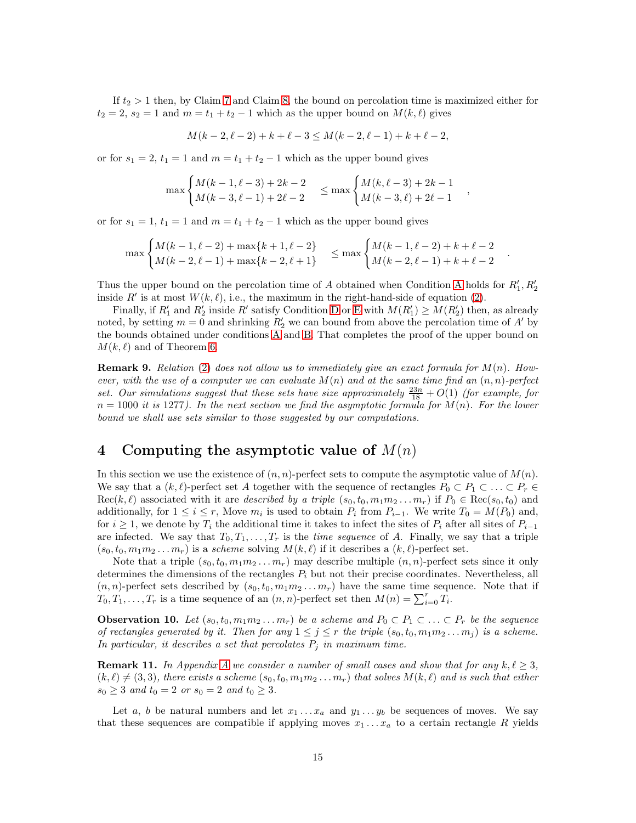If  $t_2 > 1$  then, by Claim [7](#page-9-1) and Claim [8,](#page-12-0) the bound on percolation time is maximized either for  $t_2 = 2$ ,  $s_2 = 1$  and  $m = t_1 + t_2 - 1$  which as the upper bound on  $M(k, \ell)$  gives

$$
M(k-2, \ell-2) + k + \ell - 3 \le M(k-2, \ell-1) + k + \ell - 2,
$$

or for  $s_1 = 2$ ,  $t_1 = 1$  and  $m = t_1 + t_2 - 1$  which as the upper bound gives

$$
\max\begin{cases} M(k-1,\ell-3)+2k-2\\ M(k-3,\ell-1)+2\ell-2 \end{cases} \le \max\begin{cases} M(k,\ell-3)+2k-1\\ M(k-3,\ell)+2\ell-1 \end{cases}
$$

or for  $s_1 = 1$ ,  $t_1 = 1$  and  $m = t_1 + t_2 - 1$  which as the upper bound gives

$$
\max\begin{cases} M(k-1,\ell-2) + \max\{k+1,\ell-2\} \\ M(k-2,\ell-1) + \max\{k-2,\ell+1\} \end{cases} \le \max\begin{cases} M(k-1,\ell-2) + k + \ell - 2 \\ M(k-2,\ell-1) + k + \ell - 2 \end{cases}
$$

.

Thus the upper bound on the percolation time of [A](#page-9-2) obtained when Condition A holds for  $R'_1, R'_2$ inside R' is at most  $W(k, \ell)$ , i.e., the maximum in the right-hand-side of equation [\(2\)](#page-7-2).

Finally, if  $R'_1$  and  $R'_2$  inside R' satisfy Condition [D](#page-9-0) or [E](#page-10-0) with  $M(R'_1) \ge M(R'_2)$  then, as already noted, by setting  $m = 0$  and shrinking  $R'_2$  we can bound from above the percolation time of A' by the bounds obtained under conditions [A](#page-9-2) and [B.](#page-9-3) That completes the proof of the upper bound on  $M(k, \ell)$  and of Theorem [6.](#page-7-0)

**Remark 9.** Relation [\(2\)](#page-7-2) does not allow us to immediately give an exact formula for  $M(n)$ . However, with the use of a computer we can evaluate  $M(n)$  and at the same time find an  $(n, n)$ -perfect set. Our simulations suggest that these sets have size approximately  $\frac{23n}{18} + O(1)$  (for example, for  $n = 1000$  it is 1277). In the next section we find the asymptotic formula for  $M(n)$ . For the lower bound we shall use sets similar to those suggested by our computations.

# <span id="page-14-0"></span>4 Computing the asymptotic value of  $M(n)$

In this section we use the existence of  $(n, n)$ -perfect sets to compute the asymptotic value of  $M(n)$ . We say that a  $(k, \ell)$ -perfect set A together with the sequence of rectangles  $P_0 \subset P_1 \subset \ldots \subset P_r \in$  $Rec(k, \ell)$  associated with it are *described by a triple*  $(s_0, t_0, m_1m_2 \ldots m_r)$  if  $P_0 \in Rec(s_0, t_0)$  and additionally, for  $1 \leq i \leq r$ , Move  $m_i$  is used to obtain  $P_i$  from  $P_{i-1}$ . We write  $T_0 = M(P_0)$  and, for  $i \geq 1$ , we denote by  $T_i$  the additional time it takes to infect the sites of  $P_i$  after all sites of  $P_{i-1}$ are infected. We say that  $T_0, T_1, \ldots, T_r$  is the *time sequence* of A. Finally, we say that a triple  $(s_0, t_0, m_1m_2 \ldots m_r)$  is a *scheme* solving  $M(k, \ell)$  if it describes a  $(k, \ell)$ -perfect set.

Note that a triple  $(s_0, t_0, m_1m_2 \ldots m_r)$  may describe multiple  $(n, n)$ -perfect sets since it only determines the dimensions of the rectangles  $P_i$  but not their precise coordinates. Nevertheless, all  $(n, n)$ -perfect sets described by  $(s_0, t_0, m_1m_2 \ldots m_r)$  have the same time sequence. Note that if  $T_0, T_1, \ldots, T_r$  is a time sequence of an  $(n, n)$ -perfect set then  $M(n) = \sum_{i=0}^r T_i$ .

<span id="page-14-2"></span>**Observation 10.** Let  $(s_0, t_0, m_1m_2 \ldots m_r)$  be a scheme and  $P_0 \subset P_1 \subset \ldots \subset P_r$  be the sequence of rectangles generated by it. Then for any  $1 \leq j \leq r$  the triple  $(s_0, t_0, m_1 m_2 ... m_j)$  is a scheme. In particular, it describes a set that percolates  $P_j$  in maximum time.

<span id="page-14-1"></span>**Remark 11.** In [A](#page-25-0)ppendix A we consider a number of small cases and show that for any  $k, \ell \geq 3$ ,  $(k, \ell) \neq (3, 3)$ , there exists a scheme  $(s_0, t_0, m_1m_2 \ldots m_r)$  that solves  $M(k, \ell)$  and is such that either  $s_0 \geq 3$  and  $t_0 = 2$  or  $s_0 = 2$  and  $t_0 \geq 3$ .

Let a, b be natural numbers and let  $x_1 \ldots x_a$  and  $y_1 \ldots y_b$  be sequences of moves. We say that these sequences are compatible if applying moves  $x_1 \ldots x_a$  to a certain rectangle R yields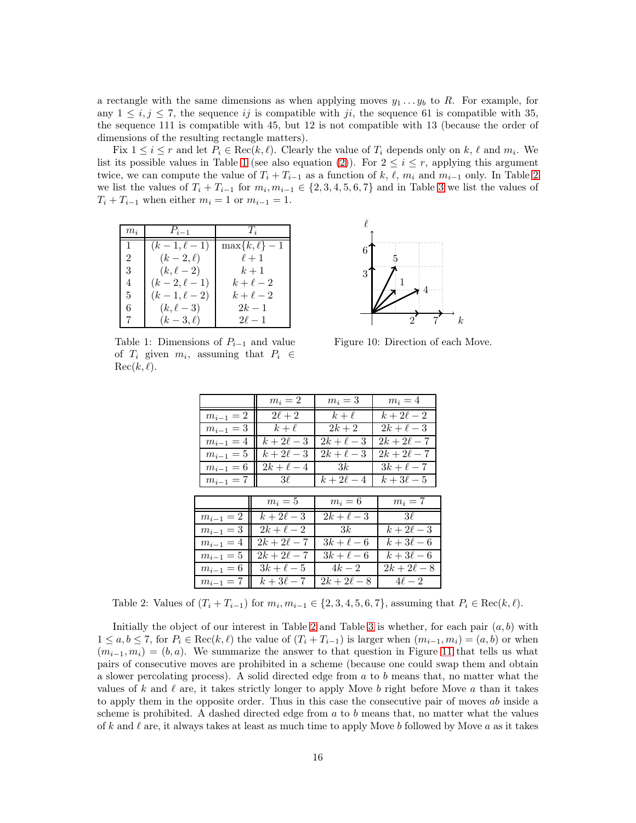a rectangle with the same dimensions as when applying moves  $y_1 \ldots y_b$  to R. For example, for any  $1 \leq i, j \leq 7$ , the sequence ij is compatible with ji, the sequence 61 is compatible with 35, the sequence 111 is compatible with 45, but 12 is not compatible with 13 (because the order of dimensions of the resulting rectangle matters).

Fix  $1 \leq i \leq r$  and let  $P_i \in \text{Rec}(k, \ell)$ . Clearly the value of  $T_i$  depends only on k,  $\ell$  and  $m_i$ . We list its possible values in Table [1](#page-15-0) (see also equation [\(2\)](#page-7-2)). For  $2 \leq i \leq r$ , applying this argument twice, we can compute the value of  $T_i + T_{i-1}$  as a function of k,  $\ell$ ,  $m_i$  and  $m_{i-1}$  only. In Table [2](#page-15-1) we list the values of  $T_i + T_{i-1}$  for  $m_i, m_{i-1} \in \{2, 3, 4, 5, 6, 7\}$  $m_i, m_{i-1} \in \{2, 3, 4, 5, 6, 7\}$  $m_i, m_{i-1} \in \{2, 3, 4, 5, 6, 7\}$  and in Table 3 we list the values of  $T_i + T_{i-1}$  when either  $m_i = 1$  or  $m_{i-1} = 1$ .

| $m_i$ | $P_{i-1}$       | $T_i$              |
|-------|-----------------|--------------------|
| 1.    | $(k-1, \ell-1)$ | $\max\{k,\ell\}-1$ |
| 2     | $(k-2,\ell)$    | $\ell+1$           |
| 3     | $(k, \ell-2)$   | $k+1$              |
| 4     | $(k-2, \ell-1)$ | $k+\ell-2$         |
| 5     | $(k-1, \ell-2)$ | $k+\ell-2$         |
| 6     | $(k, \ell-3)$   | $2k-1$             |
|       | $(k-3,\ell)$    | $2\ell-1$          |

<span id="page-15-0"></span>Table 1: Dimensions of  $P_{i-1}$  and value of  $T_i$  given  $m_i$ , assuming that  $P_i \in$  $Rec(k, \ell).$ 



<span id="page-15-2"></span>Figure 10: Direction of each Move.

|               | $m_i=2$                | $m_i=3$                     | $m_i=4$                 |
|---------------|------------------------|-----------------------------|-------------------------|
| $m_{i-1}=2$   | $2\ell+2$              | $k+\ell$                    | $k+2\ell-2$             |
| $m_{i-1} = 3$ | $k+\ell$               | $2k+2$                      | $2k+\ell-3$             |
| $m_{i-1} = 4$ | $k+2\ell-3$            | $2k+\ell-3$                 | $2k + 2\ell - 7$        |
| $m_{i-1} = 5$ | $\overline{k+2\ell-3}$ | $2k+\overline{\ell-3}$      | $\overline{2k+2\ell-7}$ |
| $m_{i-1}=6$   | $2k+\ell-4$            | $\overline{\phantom{a}}$ 3k | $3k+\ell-7$             |
| $m_{i-1}=7$   | $3\ell$                | $k+2\ell-4$                 | $k+3\ell-5$             |
|               |                        |                             |                         |
|               | $m_i=5$                | $m_i=6$                     | $m_i=7$                 |
| $m_{i-1}=2$   | $k+2\ell-3$            | $2k+\ell-3$                 | $3\ell$                 |
| $m_{i-1} = 3$ | $2k+\ell-2$            | 3k                          | $k+2\ell-3$             |
| $m_{i-1} = 4$ | $\sqrt{2k+2\ell-7}$    | $3k+\ell-6$                 | $k+3\ell-6$             |
| $m_{i-1} = 5$ | $\sqrt{2k+2\ell-7}$    | $3k+\ell-6$                 | $k+3\ell-6$             |
| $m_{i-1} = 6$ | $3k+\ell-5$            | $\overline{4k}$ – 2         | $\overline{2k+2\ell-8}$ |
| $m_{i-1}=7$   | $k+3\ell-7$            | $2k+2\ell-8$                | $4\ell-2$               |

<span id="page-15-1"></span>Table 2: Values of  $(T_i + T_{i-1})$  for  $m_i, m_{i-1} \in \{2, 3, 4, 5, 6, 7\}$ , assuming that  $P_i \in \text{Rec}(k, \ell)$ .

Initially the object of our interest in Table [2](#page-15-1) and Table [3](#page-16-0) is whether, for each pair  $(a, b)$  with  $1 \le a, b \le 7$ , for  $P_i \in \text{Rec}(k, \ell)$  the value of  $(T_i + T_{i-1})$  is larger when  $(m_{i-1}, m_i) = (a, b)$  or when  $(m_{i-1}, m_i) = (b, a)$ . We summarize the answer to that question in Figure [11](#page-16-1) that tells us what pairs of consecutive moves are prohibited in a scheme (because one could swap them and obtain a slower percolating process). A solid directed edge from a to b means that, no matter what the values of k and  $\ell$  are, it takes strictly longer to apply Move b right before Move a than it takes to apply them in the opposite order. Thus in this case the consecutive pair of moves ab inside a scheme is prohibited. A dashed directed edge from  $a$  to  $b$  means that, no matter what the values of k and  $\ell$  are, it always takes at least as much time to apply Move b followed by Move a as it takes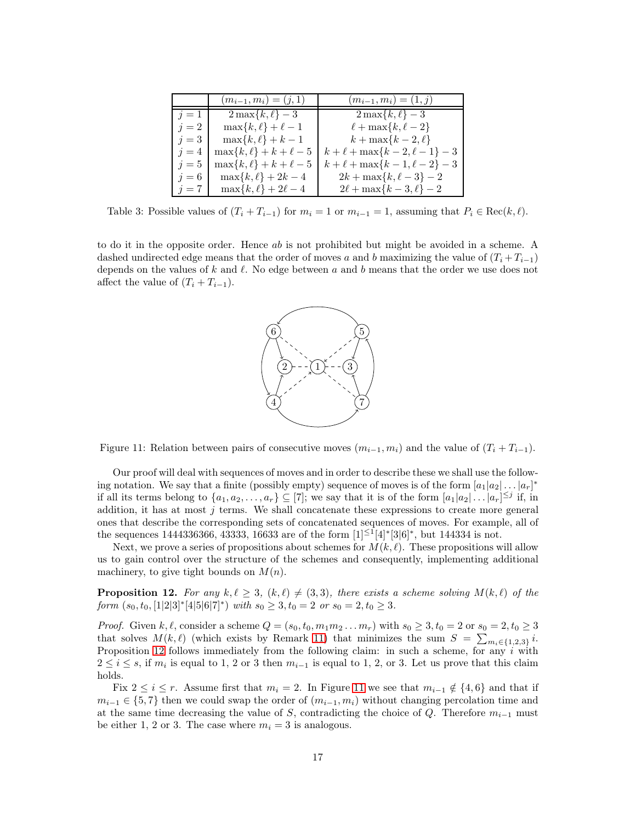|       | $(m_{i-1}, m_i) = (j, 1)$       | $(m_{i-1}, m_i) = (1, j)$            |
|-------|---------------------------------|--------------------------------------|
| $j=1$ | $2\max\{k,\ell\} - 3$           | $2\max\{k,\ell\}-3$                  |
| $j=2$ | $\max\{k,\ell\}+\ell-1$         | $\ell + \max\{k, \ell - 2\}$         |
| $j=3$ | $\max\{k,\ell\} + k - 1$        | $k+\max\{k-2,\ell\}$                 |
| $i=4$ | $\max\{k,\ell\} + k + \ell - 5$ | $k + \ell + \max\{k-2, \ell-1\} - 3$ |
| $i=5$ | $\max\{k,\ell\} + k + \ell - 5$ | $k + \ell + \max\{k-1, \ell-2\} - 3$ |
| $j=6$ | $\max\{k,\ell\} + 2k - 4$       | $2k + \max\{k, \ell - 3\} - 2$       |
| $j=7$ | $\max\{k,\ell\} + 2\ell - 4$    | $2\ell + \max\{k-3, \ell\} - 2$      |

<span id="page-16-0"></span>Table 3: Possible values of  $(T_i + T_{i-1})$  for  $m_i = 1$  or  $m_{i-1} = 1$ , assuming that  $P_i \in \text{Rec}(k, \ell)$ .

to do it in the opposite order. Hence ab is not prohibited but might be avoided in a scheme. A dashed undirected edge means that the order of moves a and b maximizing the value of  $(T_i + T_{i-1})$ depends on the values of k and  $\ell$ . No edge between a and b means that the order we use does not affect the value of  $(T_i + T_{i-1})$ .



<span id="page-16-1"></span>Figure 11: Relation between pairs of consecutive moves  $(m_{i-1}, m_i)$  and the value of  $(T_i + T_{i-1})$ .

Our proof will deal with sequences of moves and in order to describe these we shall use the following notation. We say that a finite (possibly empty) sequence of moves is of the form  $[a_1|a_2|\dots|a_r]^*$ if all its terms belong to  $\{a_1, a_2, \ldots, a_r\} \subseteq [7]$ ; we say that it is of the form  $[a_1|a_2| \ldots |a_r]^{\leq j}$  if, in addition, it has at most  $j$  terms. We shall concatenate these expressions to create more general ones that describe the corresponding sets of concatenated sequences of moves. For example, all of the sequences 1444336366, 43333, 16633 are of the form  $[1]^{\leq 1}[4]^*[3]6]^*$ , but 144334 is not.

Next, we prove a series of propositions about schemes for  $M(k, \ell)$ . These propositions will allow us to gain control over the structure of the schemes and consequently, implementing additional machinery, to give tight bounds on  $M(n)$ .

<span id="page-16-2"></span>**Proposition 12.** For any  $k, \ell \geq 3$ ,  $(k, \ell) \neq (3, 3)$ , there exists a scheme solving  $M(k, \ell)$  of the form  $(s_0, t_0, [1|2|3]^*[4|5|6|7]^*)$  with  $s_0 \ge 3$ ,  $t_0 = 2$  or  $s_0 = 2$ ,  $t_0 \ge 3$ .

*Proof.* Given k,  $\ell$ , consider a scheme  $Q = (s_0, t_0, m_1m_2 \ldots m_r)$  with  $s_0 \geq 3$ ,  $t_0 = 2$  or  $s_0 = 2$ ,  $t_0 \geq 3$ that solves  $M(k, \ell)$  (which exists by Remark [11\)](#page-14-1) that minimizes the sum  $S = \sum_{m_i \in \{1,2,3\}} i$ . Proposition [12](#page-16-2) follows immediately from the following claim: in such a scheme, for any  $i$  with  $2 \leq i \leq s$ , if  $m_i$  is equal to 1, 2 or 3 then  $m_{i-1}$  is equal to 1, 2, or 3. Let us prove that this claim holds.

Fix  $2 \leq i \leq r$ . Assume first that  $m_i = 2$ . In Figure [11](#page-16-1) we see that  $m_{i-1} \notin \{4, 6\}$  and that if  $m_{i-1} \in \{5,7\}$  then we could swap the order of  $(m_{i-1}, m_i)$  without changing percolation time and at the same time decreasing the value of S, contradicting the choice of  $Q$ . Therefore  $m_{i-1}$  must be either 1, 2 or 3. The case where  $m_i = 3$  is analogous.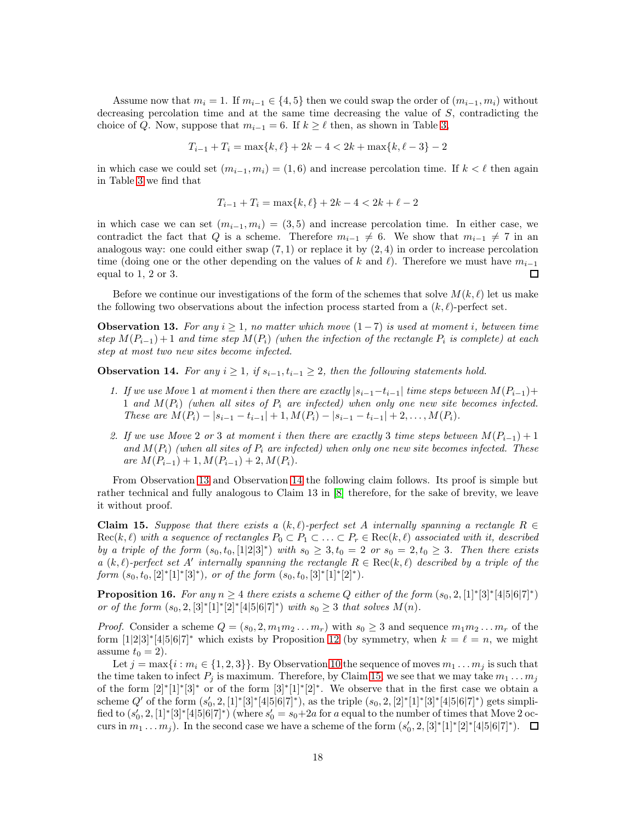Assume now that  $m_i = 1$ . If  $m_{i-1} \in \{4, 5\}$  then we could swap the order of  $(m_{i-1}, m_i)$  without decreasing percolation time and at the same time decreasing the value of  $S$ , contradicting the choice of Q. Now, suppose that  $m_{i-1} = 6$ . If  $k \geq \ell$  then, as shown in Table [3,](#page-16-0)

$$
T_{i-1} + T_i = \max\{k, \ell\} + 2k - 4 < 2k + \max\{k, \ell - 3\} - 2
$$

in which case we could set  $(m_{i-1}, m_i) = (1, 6)$  and increase percolation time. If  $k < \ell$  then again in Table [3](#page-16-0) we find that

$$
T_{i-1} + T_i = \max\{k, \ell\} + 2k - 4 < 2k + \ell - 2
$$

in which case we can set  $(m_{i-1}, m_i) = (3, 5)$  and increase percolation time. In either case, we contradict the fact that Q is a scheme. Therefore  $m_{i-1} \neq 6$ . We show that  $m_{i-1} \neq 7$  in an analogous way: one could either swap  $(7, 1)$  or replace it by  $(2, 4)$  in order to increase percolation time (doing one or the other depending on the values of k and  $\ell$ ). Therefore we must have  $m_{i-1}$ equal to 1, 2 or 3.  $\Box$ 

Before we continue our investigations of the form of the schemes that solve  $M(k, \ell)$  let us make the following two observations about the infection process started from a  $(k, \ell)$ -perfect set.

<span id="page-17-0"></span>**Observation 13.** For any  $i \geq 1$ , no matter which move  $(1-7)$  is used at moment i, between time step  $M(P_{i-1}) + 1$  and time step  $M(P_i)$  (when the infection of the rectangle  $P_i$  is complete) at each step at most two new sites become infected.

<span id="page-17-1"></span>**Observation 14.** For any  $i \geq 1$ , if  $s_{i-1}, t_{i-1} \geq 2$ , then the following statements hold.

- 1. If we use Move 1 at moment i then there are exactly  $|s_{i-1}-t_{i-1}|$  time steps between  $M(P_{i-1})+$ 1 and  $M(P_i)$  (when all sites of  $P_i$  are infected) when only one new site becomes infected. These are  $M(P_i) - |s_{i-1} - t_{i-1}| + 1$ ,  $M(P_i) - |s_{i-1} - t_{i-1}| + 2$ , ...,  $M(P_i)$ .
- 2. If we use Move 2 or 3 at moment i then there are exactly 3 time steps between  $M(P_{i-1}) + 1$ and  $M(P_i)$  (when all sites of  $P_i$  are infected) when only one new site becomes infected. These are  $M(P_{i-1}) + 1, M(P_{i-1}) + 2, M(P_i)$ .

From Observation [13](#page-17-0) and Observation [14](#page-17-1) the following claim follows. Its proof is simple but rather technical and fully analogous to Claim 13 in [\[8\]](#page-26-9) therefore, for the sake of brevity, we leave it without proof.

<span id="page-17-2"></span>Claim 15. Suppose that there exists a  $(k, \ell)$ -perfect set A internally spanning a rectangle  $R \in$  $Rec(k, \ell)$  with a sequence of rectangles  $P_0 \subset P_1 \subset \ldots \subset P_r \in Rec(k, \ell)$  associated with it, described by a triple of the form  $(s_0, t_0, [1] \otimes 3]^*$  with  $s_0 \geq 3, t_0 = 2$  or  $s_0 = 2, t_0 \geq 3$ . Then there exists a  $(k, \ell)$ -perfect set A' internally spanning the rectangle  $R \in \text{Rec}(k, \ell)$  described by a triple of the form  $(s_0, t_0, [2]^*[1]^*[3]^*)$ , or of the form  $(s_0, t_0, [3]^*[1]^*[2]^*)$ .

<span id="page-17-3"></span>**Proposition 16.** For any  $n \geq 4$  there exists a scheme Q either of the form  $(s_0, 2, [1]^* [3]^* [4] 5 \cdot 6] 7^*)$ or of the form  $(s_0, 2, [3]^*[1]^*[2]^*[4|5|6|7]^*)$  with  $s_0 \geq 3$  that solves  $M(n)$ .

*Proof.* Consider a scheme  $Q = (s_0, 2, m_1m_2...m_r)$  with  $s_0 \geq 3$  and sequence  $m_1m_2...m_r$  of the form  $[1|2|3]^*[4|5|6|7]^*$  which exists by Proposition [12](#page-16-2) (by symmetry, when  $k = \ell = n$ , we might assume  $t_0 = 2$ .

Let  $j = \max\{i : m_i \in \{1, 2, 3\}\}\.$  By Observation [10](#page-14-2) the sequence of moves  $m_1 \ldots m_j$  is such that the time taken to infect  $P_i$  is maximum. Therefore, by Claim [15,](#page-17-2) we see that we may take  $m_1 \dots m_j$ of the form  $[2]^*[1]^*[3]^*$  or of the form  $[3]^*[1]^*[2]^*$ . We observe that in the first case we obtain a scheme Q' of the form  $(s'_0, 2, 1]^* [3]^* [4] 5|6|7]^*$ , as the triple  $(s_0, 2, 2]^* [1]^* [3]^* [4|5|6|7]^*$  gets simplified to  $(s'_0, 2, [1]^*[3]^*[4|5|6|7]^*)$  (where  $s'_0 = s_0+2a$  for a equal to the number of times that Move 2 occurs in  $m_1 ... m_j$ ). In the second case we have a scheme of the form  $(s'_0, 2, [3]^*[1]^*[2]^*[4|5|6|7]^*)$ .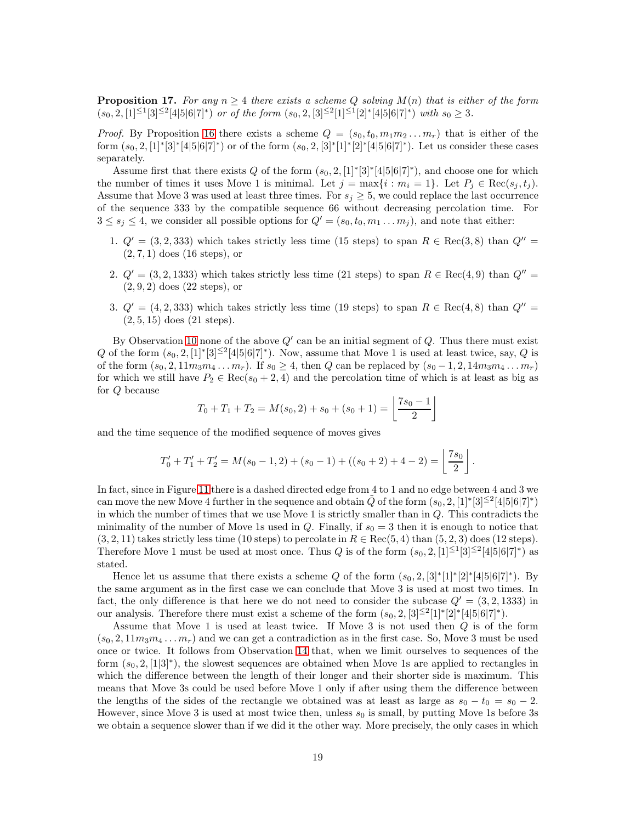<span id="page-18-0"></span>**Proposition 17.** For any  $n \geq 4$  there exists a scheme Q solving  $M(n)$  that is either of the form  $(s_0, 2, [1]^{\leq 1}[3]^{\leq 2}[4|5|6|7]^*)$  or of the form  $(s_0, 2, [3]^{\leq 2}[1]^{\leq 1}[2]^*[4|5|6|7]^*)$  with  $s_0 \geq 3$ .

*Proof.* By Proposition [16](#page-17-3) there exists a scheme  $Q = (s_0, t_0, m_1m_2...m_r)$  that is either of the form  $(s_0, 2, 1]^*$  [3]\* [4|5|6|7]\*) or of the form  $(s_0, 2, 3]^*$  [1]\* [2]\* [4|5|6|7]\*). Let us consider these cases separately.

Assume first that there exists Q of the form  $(s_0, 2, 1]^*[3]^*[4]5[6]7]^*$ , and choose one for which the number of times it uses Move 1 is minimal. Let  $j = \max\{i : m_i = 1\}$ . Let  $P_j \in \text{Rec}(s_i, t_j)$ . Assume that Move 3 was used at least three times. For  $s_j \geq 5$ , we could replace the last occurrence of the sequence 333 by the compatible sequence 66 without decreasing percolation time. For  $3 \leq s_j \leq 4$ , we consider all possible options for  $Q' = (s_0, t_0, m_1 \dots m_j)$ , and note that either:

- 1.  $Q' = (3, 2, 333)$  which takes strictly less time (15 steps) to span  $R \in \text{Rec}(3, 8)$  than  $Q'' =$  $(2, 7, 1)$  does  $(16 \text{ steps})$ , or
- 2.  $Q' = (3, 2, 1333)$  which takes strictly less time (21 steps) to span  $R \in \text{Rec}(4, 9)$  than  $Q'' =$ (2, 9, 2) does (22 steps), or
- 3.  $Q' = (4, 2, 333)$  which takes strictly less time (19 steps) to span  $R \in \text{Rec}(4, 8)$  than  $Q'' =$  $(2, 5, 15)$  does  $(21$  steps).

By Observation [10](#page-14-2) none of the above  $Q'$  can be an initial segment of  $Q$ . Thus there must exist Q of the form  $(s_0, 2, 1]^*$  [3]<sup> $\leq 2$ </sup>[4|5|6|7]<sup>\*</sup>). Now, assume that Move 1 is used at least twice, say, Q is of the form  $(s_0, 2, 11m_3m_4 \dots m_r)$ . If  $s_0 \geq 4$ , then Q can be replaced by  $(s_0 - 1, 2, 14m_3m_4 \dots m_r)$ for which we still have  $P_2 \in \text{Rec}(s_0 + 2, 4)$  and the percolation time of which is at least as big as for Q because

$$
T_0 + T_1 + T_2 = M(s_0, 2) + s_0 + (s_0 + 1) = \left\lfloor \frac{7s_0 - 1}{2} \right\rfloor
$$

and the time sequence of the modified sequence of moves gives

$$
T'_0 + T'_1 + T'_2 = M(s_0 - 1, 2) + (s_0 - 1) + ((s_0 + 2) + 4 - 2) = \left\lfloor \frac{7s_0}{2} \right\rfloor.
$$

In fact, since in Figure [11](#page-16-1) there is a dashed directed edge from 4 to 1 and no edge between 4 and 3 we can move the new Move 4 further in the sequence and obtain  $\tilde{Q}$  of the form  $(s_0, 2, [1]^*[3]^{\leq 2}[4|5|6|7]^*)$ in which the number of times that we use Move 1 is strictly smaller than in  $Q$ . This contradicts the minimality of the number of Move 1s used in Q. Finally, if  $s_0 = 3$  then it is enough to notice that  $(3, 2, 11)$  takes strictly less time (10 steps) to percolate in  $R \in \text{Rec}(5, 4)$  than  $(5, 2, 3)$  does (12 steps). Therefore Move 1 must be used at most once. Thus Q is of the form  $(s_0, 2, \lfloor 1 \rfloor^{\leq 1}[3]^{\leq 2}[4|5|6|7]^*)$  as stated.

Hence let us assume that there exists a scheme Q of the form  $(s_0, 2, 3]^*[1]^*[2]^*[4[5]6[7]^*)$ . By the same argument as in the first case we can conclude that Move 3 is used at most two times. In fact, the only difference is that here we do not need to consider the subcase  $Q' = (3, 2, 1333)$  in our analysis. Therefore there must exist a scheme of the form  $(s_0, 2, 3] \leq 2[1]^* [2]^* [4|5|6|7]^*$ .

Assume that Move 1 is used at least twice. If Move 3 is not used then Q is of the form  $(s_0, 2, 11m_3m_4 \dots m_r)$  and we can get a contradiction as in the first case. So, Move 3 must be used once or twice. It follows from Observation [14](#page-17-1) that, when we limit ourselves to sequences of the form  $(s_0, 2, [1|3]^*)$ , the slowest sequences are obtained when Move 1s are applied to rectangles in which the difference between the length of their longer and their shorter side is maximum. This means that Move 3s could be used before Move 1 only if after using them the difference between the lengths of the sides of the rectangle we obtained was at least as large as  $s_0 - t_0 = s_0 - 2$ . However, since Move 3 is used at most twice then, unless  $s_0$  is small, by putting Move 1s before 3s we obtain a sequence slower than if we did it the other way. More precisely, the only cases in which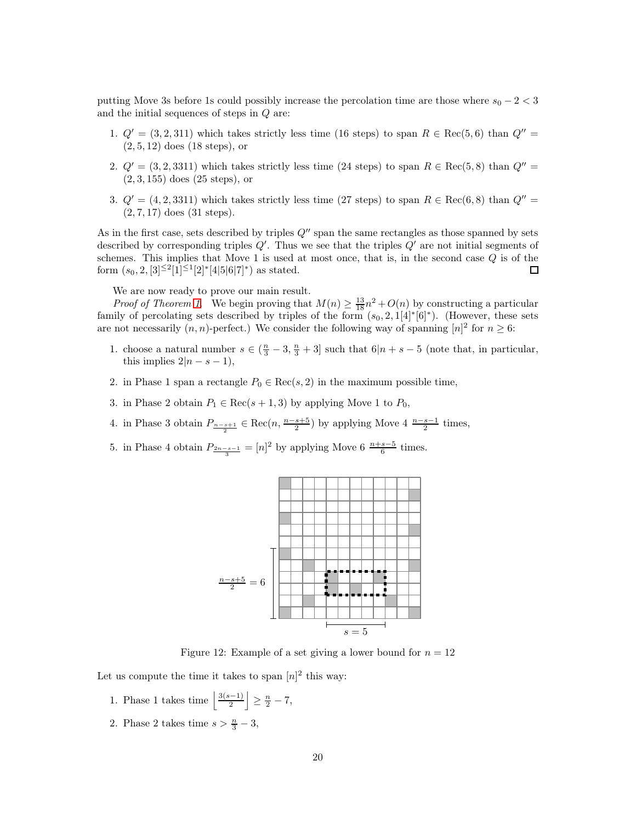putting Move 3s before 1s could possibly increase the percolation time are those where  $s_0 - 2 < 3$ and the initial sequences of steps in Q are:

- 1.  $Q' = (3, 2, 311)$  which takes strictly less time (16 steps) to span  $R \in \text{Rec}(5, 6)$  than  $Q'' =$ (2, 5, 12) does (18 steps), or
- 2.  $Q' = (3, 2, 3311)$  which takes strictly less time (24 steps) to span  $R \in \text{Rec}(5, 8)$  than  $Q'' =$ (2, 3, 155) does (25 steps), or
- 3.  $Q' = (4, 2, 3311)$  which takes strictly less time (27 steps) to span  $R \in \text{Rec}(6, 8)$  than  $Q'' =$ (2, 7, 17) does (31 steps).

As in the first case, sets described by triples  $Q''$  span the same rectangles as those spanned by sets described by corresponding triples  $Q'$ . Thus we see that the triples  $Q'$  are not initial segments of schemes. This implies that Move 1 is used at most once, that is, in the second case  $Q$  is of the form  $(s_0, 2, [3]^{\leq 2}[1]^{\leq 1}[2]^*[4|5|6|7]^*)$  as stated. 囗

We are now ready to prove our main result.

*Proof of Theorem [1](#page-1-0).* We begin proving that  $M(n) \geq \frac{13}{18}n^2 + O(n)$  by constructing a particular family of percolating sets described by triples of the form  $(s_0, 2, 1[4]^*[6]^*)$ . (However, these sets are not necessarily  $(n, n)$ -perfect.) We consider the following way of spanning  $[n]^2$  for  $n \geq 6$ :

- 1. choose a natural number  $s \in (\frac{n}{3} 3, \frac{n}{3} + 3]$  such that  $6|n + s 5$  (note that, in particular, this implies  $2|n-s-1|$ ,
- 2. in Phase 1 span a rectangle  $P_0 \in \text{Rec}(s, 2)$  in the maximum possible time,
- 3. in Phase 2 obtain  $P_1 \in \text{Rec}(s+1,3)$  by applying Move 1 to  $P_0$ ,
- 4. in Phase 3 obtain  $P_{\frac{n-s+1}{2}} \in \text{Rec}(n, \frac{n-s+5}{2})$  by applying Move 4  $\frac{n-s-1}{2}$  times,
- 5. in Phase 4 obtain  $P_{\frac{2n-s-1}{3}} = [n]^2$  by applying Move 6  $\frac{n+s-5}{6}$  times.



Figure 12: Example of a set giving a lower bound for  $n = 12$ 

Let us compute the time it takes to span  $[n]^2$  this way:

- 1. Phase 1 takes time  $\frac{3(s-1)}{2}$  $\left| \frac{n-1}{2} \right| \geq \frac{n}{2} - 7,$
- 2. Phase 2 takes time  $s > \frac{n}{3} 3$ ,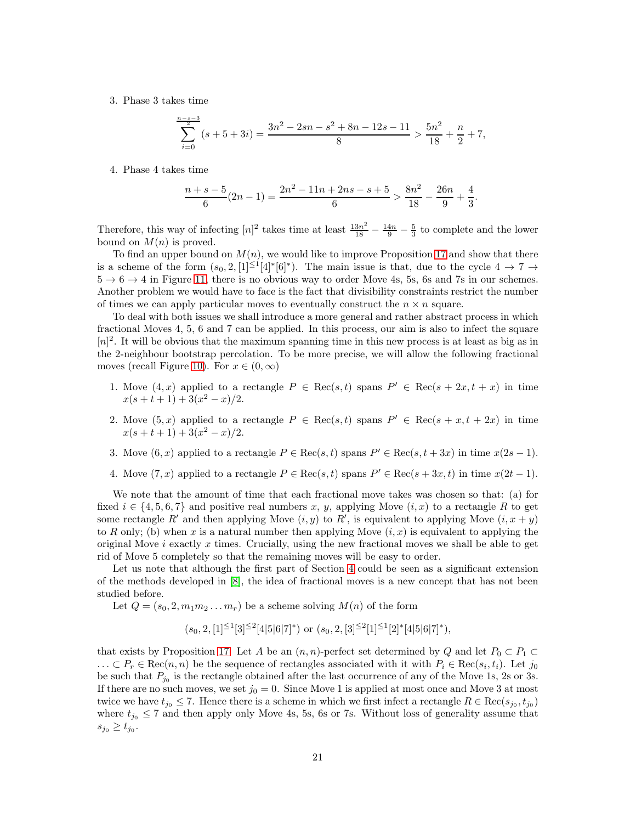3. Phase 3 takes time

$$
\sum_{i=0}^{\frac{n-s-3}{2}} (s+5+3i) = \frac{3n^2 - 2sn - s^2 + 8n - 12s - 11}{8} > \frac{5n^2}{18} + \frac{n}{2} + 7,
$$

4. Phase 4 takes time

$$
\frac{n+s-5}{6}(2n-1) = \frac{2n^2-11n+2ns-s+5}{6} > \frac{8n^2}{18} - \frac{26n}{9} + \frac{4}{3}.
$$

Therefore, this way of infecting  $[n]^2$  takes time at least  $\frac{13n^2}{18} - \frac{14n}{9} - \frac{5}{3}$  to complete and the lower bound on  $M(n)$  is proved.

To find an upper bound on  $M(n)$ , we would like to improve Proposition [17](#page-18-0) and show that there is a scheme of the form  $(s_0, 2, [1] \leq [4]^* [6]^*)$ . The main issue is that, due to the cycle  $4 \to 7 \to$  $5 \rightarrow 6 \rightarrow 4$  in Figure [11,](#page-16-1) there is no obvious way to order Move 4s, 5s, 6s and 7s in our schemes. Another problem we would have to face is the fact that divisibility constraints restrict the number of times we can apply particular moves to eventually construct the  $n \times n$  square.

To deal with both issues we shall introduce a more general and rather abstract process in which fractional Moves 4, 5, 6 and 7 can be applied. In this process, our aim is also to infect the square  $[n]^2$ . It will be obvious that the maximum spanning time in this new process is at least as big as in the 2-neighbour bootstrap percolation. To be more precise, we will allow the following fractional moves (recall Figure [10\)](#page-15-2). For  $x \in (0, \infty)$ 

- 1. Move  $(4, x)$  applied to a rectangle  $P \in \text{Rec}(s, t)$  spans  $P' \in \text{Rec}(s + 2x, t + x)$  in time  $x(s+t+1) + 3(x^2 - x)/2.$
- 2. Move  $(5, x)$  applied to a rectangle  $P \in \text{Rec}(s, t)$  spans  $P' \in \text{Rec}(s + x, t + 2x)$  in time  $x(s+t+1) + 3(x^2 - x)/2.$
- 3. Move  $(6, x)$  applied to a rectangle  $P \in \text{Rec}(s, t)$  spans  $P' \in \text{Rec}(s, t + 3x)$  in time  $x(2s 1)$ .
- 4. Move  $(7, x)$  applied to a rectangle  $P \in \text{Rec}(s, t)$  spans  $P' \in \text{Rec}(s + 3x, t)$  in time  $x(2t 1)$ .

We note that the amount of time that each fractional move takes was chosen so that: (a) for fixed  $i \in \{4, 5, 6, 7\}$  and positive real numbers x, y, applying Move  $(i, x)$  to a rectangle R to get some rectangle R' and then applying Move  $(i, y)$  to R', is equivalent to applying Move  $(i, x + y)$ to R only; (b) when x is a natural number then applying Move  $(i, x)$  is equivalent to applying the original Move  $i$  exactly  $x$  times. Crucially, using the new fractional moves we shall be able to get rid of Move 5 completely so that the remaining moves will be easy to order.

Let us note that although the first part of Section [4](#page-14-0) could be seen as a significant extension of the methods developed in [\[8\]](#page-26-9), the idea of fractional moves is a new concept that has not been studied before.

Let  $Q = (s_0, 2, m_1m_2 \ldots m_r)$  be a scheme solving  $M(n)$  of the form

 $(s_0, 2, [1]^{\leq 1}[3]^{\leq 2}[4|5|6|7]^*)$  or  $(s_0, 2, [3]^{\leq 2}[1]^{\leq 1}[2]^*[4|5|6|7]^*)$ ,

that exists by Proposition [17.](#page-18-0) Let A be an  $(n, n)$ -perfect set determined by Q and let  $P_0 \subset P_1 \subset$  $\ldots \subset P_r \in \text{Rec}(n, n)$  be the sequence of rectangles associated with it with  $P_i \in \text{Rec}(s_i, t_i)$ . Let  $j_0$ be such that  $P_{j_0}$  is the rectangle obtained after the last occurrence of any of the Move 1s, 2s or 3s. If there are no such moves, we set  $j_0 = 0$ . Since Move 1 is applied at most once and Move 3 at most twice we have  $t_{j_0} \leq 7$ . Hence there is a scheme in which we first infect a rectangle  $R \in \text{Rec}(s_{j_0}, t_{j_0})$ where  $t_{j_0} \leq 7$  and then apply only Move 4s, 5s, 6s or 7s. Without loss of generality assume that  $s_{j_0} \ge t_{j_0}$ .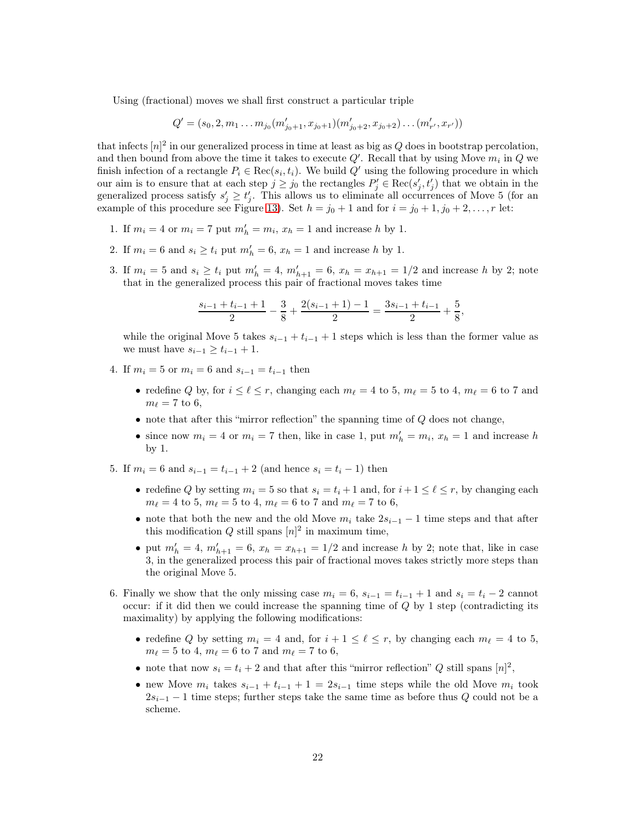Using (fractional) moves we shall first construct a particular triple

$$
Q' = (s_0, 2, m_1 \dots m_{j_0}(m'_{j_0+1}, x_{j_0+1})(m'_{j_0+2}, x_{j_0+2})\dots (m'_{r'}, x_{r'}))
$$

that infects  $[n]^2$  in our generalized process in time at least as big as Q does in bootstrap percolation, and then bound from above the time it takes to execute  $Q'$ . Recall that by using Move  $m_i$  in  $Q$  we finish infection of a rectangle  $P_i \in \text{Rec}(s_i, t_i)$ . We build  $Q'$  using the following procedure in which our aim is to ensure that at each step  $j \ge j_0$  the rectangles  $P'_j \in \text{Rec}(s'_j, t'_j)$  that we obtain in the generalized process satisfy  $s'_j \geq t'_j$ . This allows us to eliminate all occurrences of Move 5 (for an example of this procedure see Figure [13\)](#page-22-0). Set  $h = j_0 + 1$  and for  $i = j_0 + 1, j_0 + 2, \ldots, r$  let:

- 1. If  $m_i = 4$  or  $m_i = 7$  put  $m'_h = m_i$ ,  $x_h = 1$  and increase h by 1.
- 2. If  $m_i = 6$  and  $s_i \ge t_i$  put  $m'_h = 6$ ,  $x_h = 1$  and increase h by 1.
- 3. If  $m_i = 5$  and  $s_i \ge t_i$  put  $m'_h = 4$ ,  $m'_{h+1} = 6$ ,  $x_h = x_{h+1} = 1/2$  and increase h by 2; note that in the generalized process this pair of fractional moves takes time

$$
\frac{s_{i-1}+t_{i-1}+1}{2}-\frac{3}{8}+\frac{2(s_{i-1}+1)-1}{2}=\frac{3s_{i-1}+t_{i-1}}{2}+\frac{5}{8}
$$

,

while the original Move 5 takes  $s_{i-1} + t_{i-1} + 1$  steps which is less than the former value as we must have  $s_{i-1} \geq t_{i-1} + 1$ .

- 4. If  $m_i = 5$  or  $m_i = 6$  and  $s_{i-1} = t_{i-1}$  then
	- redefine Q by, for  $i \leq \ell \leq r$ , changing each  $m_{\ell} = 4$  to 5,  $m_{\ell} = 5$  to 4,  $m_{\ell} = 6$  to 7 and  $m_{\ell}=7$  to 6,
	- $\bullet$  note that after this "mirror reflection" the spanning time of  $Q$  does not change,
	- since now  $m_i = 4$  or  $m_i = 7$  then, like in case 1, put  $m'_h = m_i$ ,  $x_h = 1$  and increase h by 1.
- 5. If  $m_i = 6$  and  $s_{i-1} = t_{i-1} + 2$  (and hence  $s_i = t_i 1$ ) then
	- redefine Q by setting  $m_i = 5$  so that  $s_i = t_i + 1$  and, for  $i + 1 \leq \ell \leq r$ , by changing each  $m_{\ell} = 4$  to 5,  $m_{\ell} = 5$  to 4,  $m_{\ell} = 6$  to 7 and  $m_{\ell} = 7$  to 6,
	- note that both the new and the old Move  $m_i$  take  $2s_{i-1} 1$  time steps and that after this modification Q still spans  $[n]^2$  in maximum time,
	- put  $m'_h = 4$ ,  $m'_{h+1} = 6$ ,  $x_h = x_{h+1} = 1/2$  and increase h by 2; note that, like in case 3, in the generalized process this pair of fractional moves takes strictly more steps than the original Move 5.
- 6. Finally we show that the only missing case  $m_i = 6$ ,  $s_{i-1} = t_{i-1} + 1$  and  $s_i = t_i 2$  cannot occur: if it did then we could increase the spanning time of  $Q$  by 1 step (contradicting its maximality) by applying the following modifications:
	- redefine Q by setting  $m_i = 4$  and, for  $i + 1 \leq \ell \leq r$ , by changing each  $m_{\ell} = 4$  to 5,  $m_{\ell} = 5$  to 4,  $m_{\ell} = 6$  to 7 and  $m_{\ell} = 7$  to 6,
	- note that now  $s_i = t_i + 2$  and that after this "mirror reflection" Q still spans  $[n]^2$ ,
	- new Move  $m_i$  takes  $s_{i-1} + t_{i-1} + 1 = 2s_{i-1}$  time steps while the old Move  $m_i$  took  $2s_{i-1}$  – 1 time steps; further steps take the same time as before thus Q could not be a scheme.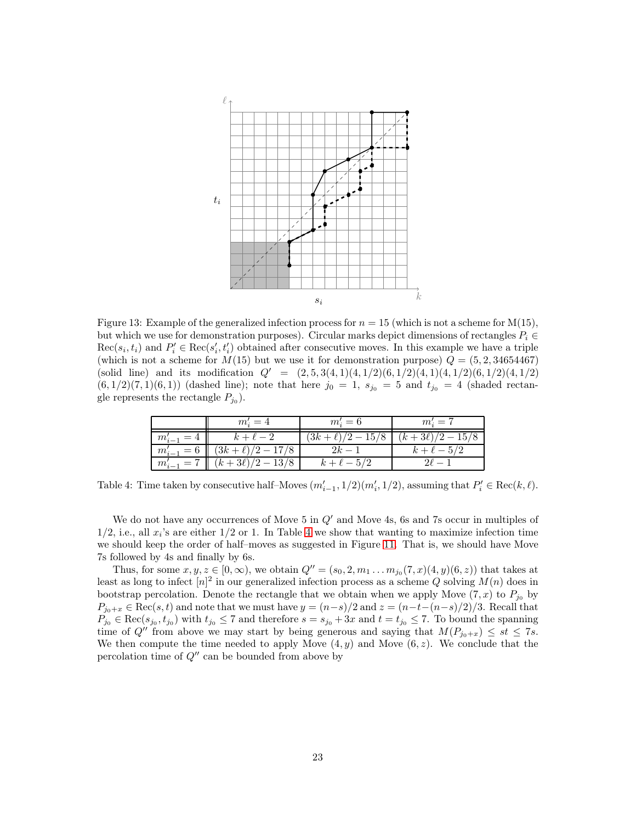

<span id="page-22-0"></span>Figure 13: Example of the generalized infection process for  $n = 15$  (which is not a scheme for M(15), but which we use for demonstration purposes). Circular marks depict dimensions of rectangles  $P_i \in$  $Rec(s_i, t_i)$  and  $P'_i \in Rec(s'_i, t'_i)$  obtained after consecutive moves. In this example we have a triple (which is not a scheme for  $M(15)$  but we use it for demonstration purpose)  $Q = (5, 2, 34654467)$ (solid line) and its modification  $Q' = (2, 5, 3(4, 1)(4, 1/2)(6, 1/2)(4, 1/2)(6, 1/2)(4, 1/2)$  $(6, 1/2)(7, 1)(6, 1)$  (dashed line); note that here  $j_0 = 1$ ,  $s_{j_0} = 5$  and  $t_{j_0} = 4$  (shaded rectangle represents the rectangle  $P_{j_0}$ ).

|                | $m_i' = 4$           | $m_i'=6$             | $m_i' = 7$         |
|----------------|----------------------|----------------------|--------------------|
| $m'_{i-1} = 4$ | $k+\ell-2$           | $(3k+\ell)/2 - 15/8$ | $(k+3\ell)/2-15/8$ |
| $m'_{i-1} = 6$ | $(3k+\ell)/2 - 17/8$ | $2k-1$               | $k+\ell-5$         |
| $m'_{i-1} = 7$ | $(k+3\ell)/2-13/8$   | $k+\ell-5/2$         |                    |

<span id="page-22-1"></span>Table 4: Time taken by consecutive half-Moves  $(m'_{i-1}, 1/2)(m'_{i}, 1/2)$ , assuming that  $P'_{i} \in \text{Rec}(k, \ell)$ .

We do not have any occurrences of Move 5 in  $Q'$  and Move 4s, 6s and 7s occur in multiples of  $1/2$ , i.e., all  $x_i$ 's are either  $1/2$  or 1. In Table [4](#page-22-1) we show that wanting to maximize infection time we should keep the order of half–moves as suggested in Figure [11.](#page-16-1) That is, we should have Move 7s followed by 4s and finally by 6s.

Thus, for some  $x, y, z \in [0, \infty)$ , we obtain  $Q'' = (s_0, 2, m_1 \dots m_{j_0}(7, x)(4, y)(6, z))$  that takes at least as long to infect  $[n]^2$  in our generalized infection process as a scheme Q solving  $M(n)$  does in bootstrap percolation. Denote the rectangle that we obtain when we apply Move  $(7, x)$  to  $P_{j_0}$  by  $P_{j_0+x} \in \text{Rec}(s, t)$  and note that we must have  $y = (n-s)/2$  and  $z = (n-t-(n-s)/2)/3$ . Recall that  $P_{j_0} \in \text{Rec}(s_{j_0}, t_{j_0})$  with  $t_{j_0} \leq 7$  and therefore  $s = s_{j_0} + 3x$  and  $t = t_{j_0} \leq 7$ . To bound the spanning time of Q'' from above we may start by being generous and saying that  $M(P_{j_0+x}) \leq st \leq 7s$ . We then compute the time needed to apply Move  $(4, y)$  and Move  $(6, z)$ . We conclude that the percolation time of  $Q''$  can be bounded from above by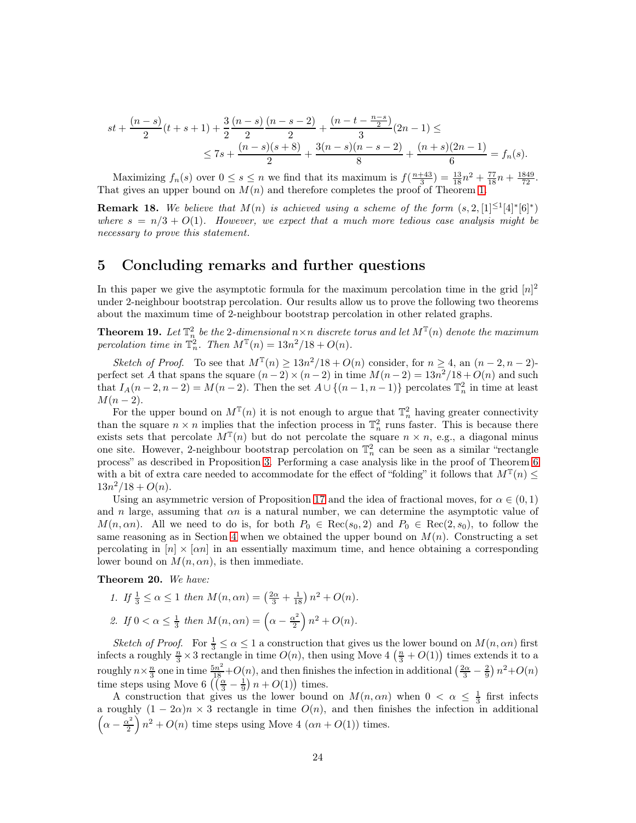$$
st + \frac{(n-s)}{2}(t+s+1) + \frac{3}{2}\frac{(n-s)}{2}\frac{(n-s-2)}{2} + \frac{(n-t-\frac{n-s}{2})}{3}(2n-1) \le
$$
  

$$
\le 7s + \frac{(n-s)(s+8)}{2} + \frac{3(n-s)(n-s-2)}{8} + \frac{(n+s)(2n-1)}{6} = f_n(s).
$$

Maximizing  $f_n(s)$  over  $0 \le s \le n$  we find that its maximum is  $f(\frac{n+43}{3}) = \frac{13}{18}n^2 + \frac{77}{18}n + \frac{1849}{72}$ . That gives an upper bound on  $M(n)$  and therefore completes the proof of Theorem [1.](#page-1-0)

**Remark 18.** We believe that  $M(n)$  is achieved using a scheme of the form  $(s, 2, [1]^{\leq 1}[4]^*[6]^*)$ where  $s = n/3 + O(1)$ . However, we expect that a much more tedious case analysis might be necessary to prove this statement.

### <span id="page-23-0"></span>5 Concluding remarks and further questions

In this paper we give the asymptotic formula for the maximum percolation time in the grid  $[n]^2$ under 2-neighbour bootstrap percolation. Our results allow us to prove the following two theorems about the maximum time of 2-neighbour bootstrap percolation in other related graphs.

**Theorem 19.** Let  $\mathbb{T}_n^2$  be the 2-dimensional  $n \times n$  discrete torus and let  $M^{\mathbb{T}}(n)$  denote the maximum percolation time in  $\mathbb{T}_n^2$ . Then  $M^{\mathbb{T}}(n) = 13n^2/18 + O(n)$ .

Sketch of Proof. To see that  $M^{\mathbb{T}}(n) \geq 13n^2/18 + O(n)$  consider, for  $n \geq 4$ , an  $(n-2, n-2)$ perfect set A that spans the square  $(n-2) \times (n-2)$  in time  $M(n-2) = 13n^2/18 + O(n)$  and such that  $I_A(n-2, n-2) = M(n-2)$ . Then the set  $A \cup \{(n-1, n-1)\}$  percolates  $\mathbb{T}_n^2$  in time at least  $M(n-2)$ .

For the upper bound on  $M^{\mathbb{T}}(n)$  it is not enough to argue that  $\mathbb{T}_n^2$  having greater connectivity than the square  $n \times n$  implies that the infection process in  $\mathbb{T}_n^2$  runs faster. This is because there exists sets that percolate  $M^{\mathbb{T}}(n)$  but do not percolate the square  $n \times n$ , e.g., a diagonal minus one site. However, 2-neighbour bootstrap percolation on  $\mathbb{T}_n^2$  can be seen as a similar "rectangle process" as described in Proposition [3.](#page-2-1) Performing a case analysis like in the proof of Theorem [6](#page-7-0) with a bit of extra care needed to accommodate for the effect of "folding" it follows that  $M^{\mathbb{T}}(n) \leq$  $13n^2/18 + O(n)$ .

Using an asymmetric version of Proposition [17](#page-18-0) and the idea of fractional moves, for  $\alpha \in (0,1)$ and n large, assuming that  $\alpha n$  is a natural number, we can determine the asymptotic value of  $M(n, \alpha n)$ . All we need to do is, for both  $P_0 \in \text{Rec}(s_0, 2)$  and  $P_0 \in \text{Rec}(2, s_0)$ , to follow the same reasoning as in Section [4](#page-14-0) when we obtained the upper bound on  $M(n)$ . Constructing a set percolating in  $[n] \times \lceil \alpha n \rceil$  in an essentially maximum time, and hence obtaining a corresponding lower bound on  $M(n, \alpha n)$ , is then immediate.

Theorem 20. We have:

1. If 
$$
\frac{1}{3} \le \alpha \le 1
$$
 then  $M(n, \alpha n) = (\frac{2\alpha}{3} + \frac{1}{18}) n^2 + O(n)$ .  
2. If  $0 < \alpha \le \frac{1}{3}$  then  $M(n, \alpha n) = (\alpha - \frac{\alpha^2}{2}) n^2 + O(n)$ .

Sketch of Proof. For  $\frac{1}{3} \leq \alpha \leq 1$  a construction that gives us the lower bound on  $M(n, \alpha n)$  first infects a roughly  $\frac{n}{3} \times 3$  rectangle in time  $O(n)$ , then using Move 4  $(\frac{n}{3} + O(1))$  times extends it to a roughly  $n \times \frac{n}{3}$  one in time  $\frac{5n^2}{18} + O(n)$ , and then finishes the infection in additional  $\left(\frac{2\alpha}{3} - \frac{2}{9}\right)n^2 + O(n)$ time steps using Move 6  $\left(\left(\frac{\alpha}{3} - \frac{1}{9}\right)n + O(1)\right)$  times.

A construction that gives us the lower bound on  $M(n, \alpha n)$  when  $0 < \alpha \leq \frac{1}{3}$  first infects a roughly  $(1 - 2\alpha)n \times 3$  rectangle in time  $O(n)$ , and then finishes the infection in additional  $\left(\alpha-\frac{\alpha^2}{2}\right)$  $\left(\frac{\sqrt{2}}{2}\right)n^2 + O(n)$  time steps using Move 4  $(\alpha n + O(1))$  times.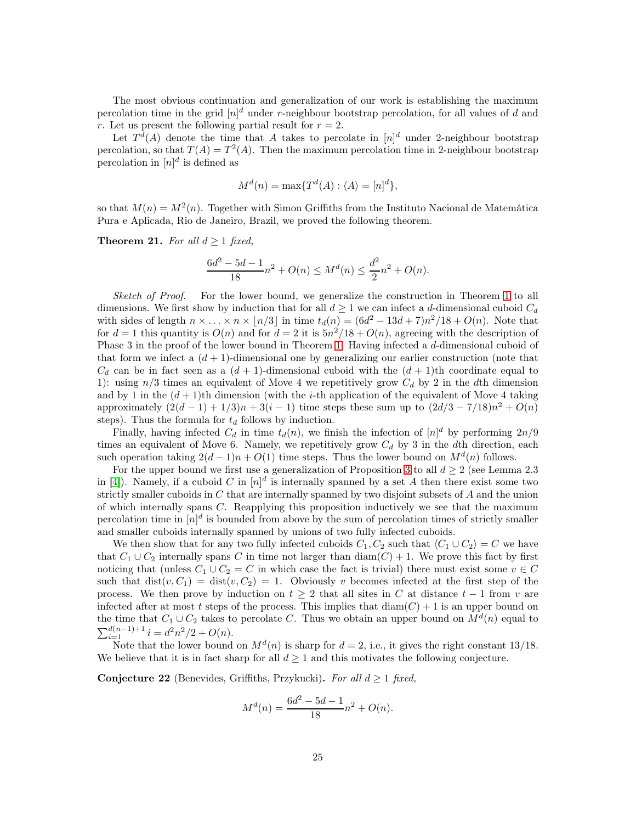The most obvious continuation and generalization of our work is establishing the maximum percolation time in the grid  $[n]^d$  under r-neighbour bootstrap percolation, for all values of d and r. Let us present the following partial result for  $r = 2$ .

Let  $T<sup>d</sup>(A)$  denote the time that A takes to percolate in  $[n]$ <sup>d</sup> under 2-neighbour bootstrap percolation, so that  $T(A) = T^2(A)$ . Then the maximum percolation time in 2-neighbour bootstrap percolation in  $[n]^d$  is defined as

$$
M^{d}(n) = \max\{T^{d}(A) : \langle A \rangle = [n]^{d}\},\
$$

so that  $M(n) = M^2(n)$ . Together with Simon Griffiths from the Instituto Nacional de Matemática Pura e Aplicada, Rio de Janeiro, Brazil, we proved the following theorem.

**Theorem 21.** For all  $d \geq 1$  fixed,

$$
\frac{6d^2 - 5d - 1}{18}n^2 + O(n) \le M^d(n) \le \frac{d^2}{2}n^2 + O(n).
$$

Sketch of Proof. For the lower bound, we generalize the construction in Theorem [1](#page-1-0) to all dimensions. We first show by induction that for all  $d \geq 1$  we can infect a d-dimensional cuboid  $C_d$ with sides of length  $n \times \ldots \times n \times \lfloor n/3 \rfloor$  in time  $t_d(n) = (6d^2 - 13d + 7)n^2/18 + O(n)$ . Note that for  $d = 1$  this quantity is  $O(n)$  and for  $d = 2$  it is  $5n^2/18 + O(n)$ , agreeing with the description of Phase 3 in the proof of the lower bound in Theorem [1.](#page-1-0) Having infected a d-dimensional cuboid of that form we infect a  $(d+1)$ -dimensional one by generalizing our earlier construction (note that  $C_d$  can be in fact seen as a  $(d+1)$ -dimensional cuboid with the  $(d+1)$ th coordinate equal to 1): using  $n/3$  times an equivalent of Move 4 we repetitively grow  $C_d$  by 2 in the dth dimension and by 1 in the  $(d+1)$ th dimension (with the *i*-th application of the equivalent of Move 4 taking approximately  $(2(d-1) + 1/3)n + 3(i - 1)$  time steps these sum up to  $(2d/3 - 7/18)n^2 + O(n)$ steps). Thus the formula for  $t_d$  follows by induction.

Finally, having infected  $C_d$  in time  $t_d(n)$ , we finish the infection of  $[n]^d$  by performing  $2n/9$ times an equivalent of Move 6. Namely, we repetitively grow  $C_d$  by 3 in the dth direction, each such operation taking  $2(d-1)n + O(1)$  time steps. Thus the lower bound on  $M<sup>d</sup>(n)$  follows.

For the upper bound we first use a generalization of Proposition [3](#page-2-1) to all  $d \geq 2$  (see Lemma 2.3) in [\[4\]](#page-26-13)). Namely, if a cuboid C in  $[n]^d$  is internally spanned by a set A then there exist some two strictly smaller cuboids in  $C$  that are internally spanned by two disjoint subsets of  $A$  and the union of which internally spans C. Reapplying this proposition inductively we see that the maximum percolation time in  $[n]^d$  is bounded from above by the sum of percolation times of strictly smaller and smaller cuboids internally spanned by unions of two fully infected cuboids.

We then show that for any two fully infected cuboids  $C_1, C_2$  such that  $\langle C_1 \cup C_2 \rangle = C$  we have that  $C_1 \cup C_2$  internally spans C in time not larger than  $\text{diam}(C) + 1$ . We prove this fact by first noticing that (unless  $C_1 \cup C_2 = C$  in which case the fact is trivial) there must exist some  $v \in C$ such that  $dist(v, C_1) = dist(v, C_2) = 1$ . Obviously v becomes infected at the first step of the process. We then prove by induction on  $t \geq 2$  that all sites in C at distance  $t - 1$  from v are infected after at most t steps of the process. This implies that  $\text{diam}(C) + 1$  is an upper bound on the time that  $C_1 \cup C_2$  takes to percolate C. Thus we obtain an upper bound on  $M<sup>d</sup>(n)$  equal to  $\sum_{i=1}^{d(n-1)+1} i = d^2n^2/2 + O(n).$ 

Note that the lower bound on  $M^{d}(n)$  is sharp for  $d = 2$ , i.e., it gives the right constant 13/18. We believe that it is in fact sharp for all  $d \geq 1$  and this motivates the following conjecture.

**Conjecture 22** (Benevides, Griffiths, Przykucki). For all  $d \geq 1$  fixed,

$$
M^{d}(n) = \frac{6d^{2} - 5d - 1}{18}n^{2} + O(n).
$$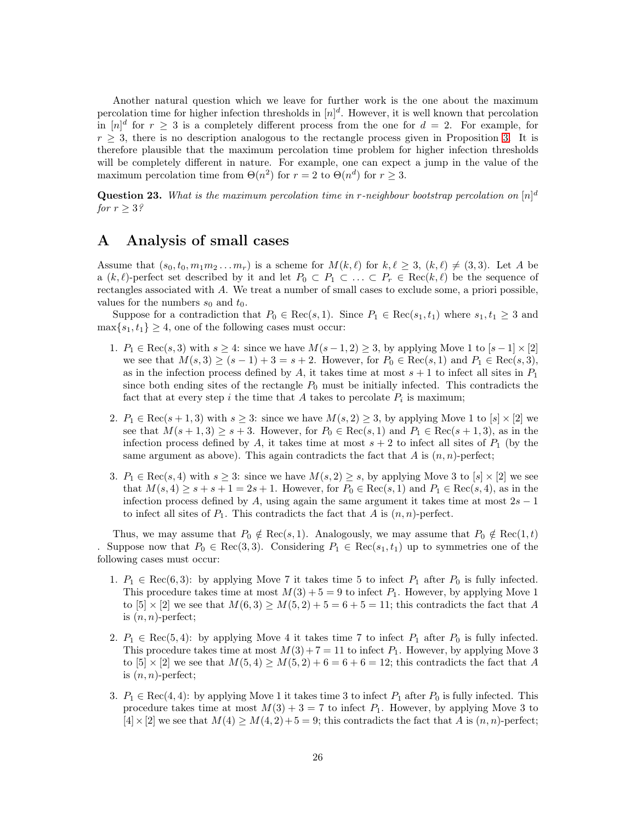Another natural question which we leave for further work is the one about the maximum percolation time for higher infection thresholds in  $[n]^d$ . However, it is well known that percolation in  $[n]^d$  for  $r \geq 3$  is a completely different process from the one for  $d = 2$ . For example, for  $r \geq 3$ , there is no description analogous to the rectangle process given in Proposition [3.](#page-2-1) It is therefore plausible that the maximum percolation time problem for higher infection thresholds will be completely different in nature. For example, one can expect a jump in the value of the maximum percolation time from  $\Theta(n^2)$  for  $r = 2$  to  $\Theta(n^d)$  for  $r \geq 3$ .

**Question 23.** What is the maximum percolation time in r-neighbour bootstrap percolation on  $[n]^d$ for  $r \geq 3$ ?

# <span id="page-25-0"></span>A Analysis of small cases

Assume that  $(s_0, t_0, m_1m_2...m_r)$  is a scheme for  $M(k, \ell)$  for  $k, \ell \geq 3$ ,  $(k, \ell) \neq (3, 3)$ . Let A be a  $(k, \ell)$ -perfect set described by it and let  $P_0 \subset P_1 \subset \ldots \subset P_r \in \text{Rec}(k, \ell)$  be the sequence of rectangles associated with  $A$ . We treat a number of small cases to exclude some, a priori possible, values for the numbers  $s_0$  and  $t_0$ .

Suppose for a contradiction that  $P_0 \in \text{Rec}(s, 1)$ . Since  $P_1 \in \text{Rec}(s_1, t_1)$  where  $s_1, t_1 \geq 3$  and  $\max\{s_1, t_1\} \geq 4$ , one of the following cases must occur:

- 1.  $P_1 \in \text{Rec}(s, 3)$  with  $s \geq 4$ : since we have  $M(s-1, 2) \geq 3$ , by applying Move 1 to  $[s-1] \times [2]$ we see that  $M(s, 3) \ge (s - 1) + 3 = s + 2$ . However, for  $P_0 \in \text{Rec}(s, 1)$  and  $P_1 \in \text{Rec}(s, 3)$ , as in the infection process defined by A, it takes time at most  $s + 1$  to infect all sites in  $P_1$ since both ending sites of the rectangle  $P_0$  must be initially infected. This contradicts the fact that at every step i the time that A takes to percolate  $P_i$  is maximum;
- 2.  $P_1 \in \text{Rec}(s+1,3)$  with  $s \geq 3$ : since we have  $M(s, 2) \geq 3$ , by applying Move 1 to  $[s] \times [2]$  we see that  $M(s+1, 3) \geq s+3$ . However, for  $P_0 \in \text{Rec}(s, 1)$  and  $P_1 \in \text{Rec}(s+1, 3)$ , as in the infection process defined by A, it takes time at most  $s + 2$  to infect all sites of  $P_1$  (by the same argument as above). This again contradicts the fact that A is  $(n, n)$ -perfect;
- 3.  $P_1 \in \text{Rec}(s, 4)$  with  $s \geq 3$ : since we have  $M(s, 2) \geq s$ , by applying Move 3 to  $[s] \times [2]$  we see that  $M(s, 4) \geq s + s + 1 = 2s + 1$ . However, for  $P_0 \in \text{Rec}(s, 1)$  and  $P_1 \in \text{Rec}(s, 4)$ , as in the infection process defined by A, using again the same argument it takes time at most  $2s - 1$ to infect all sites of  $P_1$ . This contradicts the fact that A is  $(n, n)$ -perfect.

Thus, we may assume that  $P_0 \notin \text{Rec}(s, 1)$ . Analogously, we may assume that  $P_0 \notin \text{Rec}(1, t)$ Suppose now that  $P_0 \in \text{Rec}(3, 3)$ . Considering  $P_1 \in \text{Rec}(s_1, t_1)$  up to symmetries one of the following cases must occur:

- 1.  $P_1 \in \text{Rec}(6, 3)$ : by applying Move 7 it takes time 5 to infect  $P_1$  after  $P_0$  is fully infected. This procedure takes time at most  $M(3) + 5 = 9$  to infect  $P_1$ . However, by applying Move 1 to  $[5] \times [2]$  we see that  $M(6,3) \ge M(5,2) + 5 = 6 + 5 = 11$ ; this contradicts the fact that A is  $(n, n)$ -perfect;
- 2.  $P_1 \in \text{Rec}(5, 4)$ : by applying Move 4 it takes time 7 to infect  $P_1$  after  $P_0$  is fully infected. This procedure takes time at most  $M(3) + 7 = 11$  to infect  $P_1$ . However, by applying Move 3 to  $[5] \times [2]$  we see that  $M(5, 4) \geq M(5, 2) + 6 = 6 + 6 = 12$ ; this contradicts the fact that A is  $(n, n)$ -perfect;
- 3.  $P_1 \in \text{Rec}(4, 4)$ : by applying Move 1 it takes time 3 to infect  $P_1$  after  $P_0$  is fully infected. This procedure takes time at most  $M(3) + 3 = 7$  to infect  $P_1$ . However, by applying Move 3 to  $[4] \times [2]$  we see that  $M(4) \geq M(4, 2) + 5 = 9$ ; this contradicts the fact that A is  $(n, n)$ -perfect;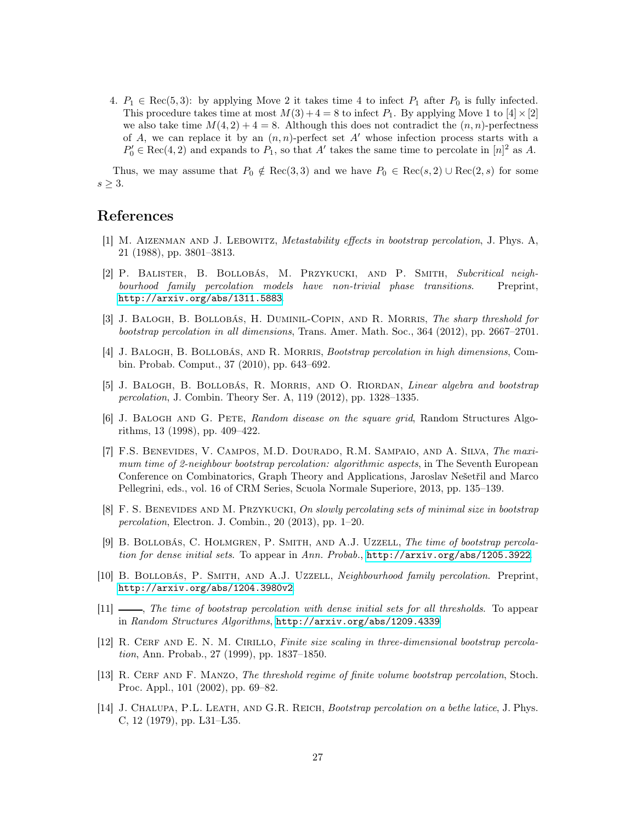4.  $P_1 \in \text{Rec}(5, 3)$ : by applying Move 2 it takes time 4 to infect  $P_1$  after  $P_0$  is fully infected. This procedure takes time at most  $M(3) + 4 = 8$  to infect  $P_1$ . By applying Move 1 to  $[4] \times [2]$ we also take time  $M(4,2) + 4 = 8$ . Although this does not contradict the  $(n, n)$ -perfectness of A, we can replace it by an  $(n, n)$ -perfect set A' whose infection process starts with a  $P'_0 \in \text{Rec}(4, 2)$  and expands to  $P_1$ , so that A' takes the same time to percolate in  $[n]^2$  as A.

Thus, we may assume that  $P_0 \notin \text{Rec}(3, 3)$  and we have  $P_0 \in \text{Rec}(s, 2) \cup \text{Rec}(2, s)$  for some  $s \geq 3$ .

### <span id="page-26-1"></span>References

- [1] M. Aizenman and J. Lebowitz, Metastability effects in bootstrap percolation, J. Phys. A, 21 (1988), pp. 3801–3813.
- <span id="page-26-6"></span>[2] P. Balister, B. Bollobás, M. Przykucki, and P. Smith, Subcritical neighbourhood family percolation models have non-trivial phase transitions. Preprint, <http://arxiv.org/abs/1311.5883>.
- <span id="page-26-4"></span>[3] J. Balogh, B. Bollobás, H. Duminil-Copin, and R. Morris, The sharp threshold for bootstrap percolation in all dimensions, Trans. Amer. Math. Soc., 364 (2012), pp. 2667–2701.
- <span id="page-26-13"></span>[4] J. Balogh, B. Bollobás, and R. Morris, Bootstrap percolation in high dimensions, Combin. Probab. Comput., 37 (2010), pp. 643–692.
- <span id="page-26-8"></span><span id="page-26-7"></span>[5] J. Balogh, B. Bollobás, R. Morris, and O. Riordan, Linear algebra and bootstrap percolation, J. Combin. Theory Ser. A, 119 (2012), pp. 1328–1335.
- [6] J. Balogh and G. Pete, Random disease on the square grid, Random Structures Algorithms, 13 (1998), pp. 409–422.
- <span id="page-26-10"></span>[7] F.S. Benevides, V. Campos, M.D. Dourado, R.M. Sampaio, and A. Silva, The maximum time of 2-neighbour bootstrap percolation: algorithmic aspects, in The Seventh European Conference on Combinatorics, Graph Theory and Applications, Jaroslav Nešetřil and Marco Pellegrini, eds., vol. 16 of CRM Series, Scuola Normale Superiore, 2013, pp. 135–139.
- <span id="page-26-9"></span>[8] F. S. BENEVIDES AND M. PRZYKUCKI, On slowly percolating sets of minimal size in bootstrap percolation, Electron. J. Combin., 20 (2013), pp. 1–20.
- <span id="page-26-11"></span>[9] B. Bollobás, C. Holmgren, P. Smith, and A.J. Uzzell, The time of bootstrap percolation for dense initial sets. To appear in Ann. Probab., <http://arxiv.org/abs/1205.3922>.
- <span id="page-26-5"></span>[10] B. BOLLOBÁS, P. SMITH, AND A.J. UZZELL, Neighbourhood family percolation. Preprint, <http://arxiv.org/abs/1204.3980v2>.
- <span id="page-26-12"></span>[11] , The time of bootstrap percolation with dense initial sets for all thresholds. To appear in Random Structures Algorithms, <http://arxiv.org/abs/1209.4339>.
- <span id="page-26-2"></span>[12] R. CERF AND E. N. M. CIRILLO, Finite size scaling in three-dimensional bootstrap percolation, Ann. Probab., 27 (1999), pp. 1837–1850.
- <span id="page-26-3"></span>[13] R. CERF AND F. MANZO, The threshold regime of finite volume bootstrap percolation, Stoch. Proc. Appl., 101 (2002), pp. 69–82.
- <span id="page-26-0"></span>[14] J. CHALUPA, P.L. LEATH, AND G.R. REICH, Bootstrap percolation on a bethe latice, J. Phys. C, 12 (1979), pp. L31–L35.